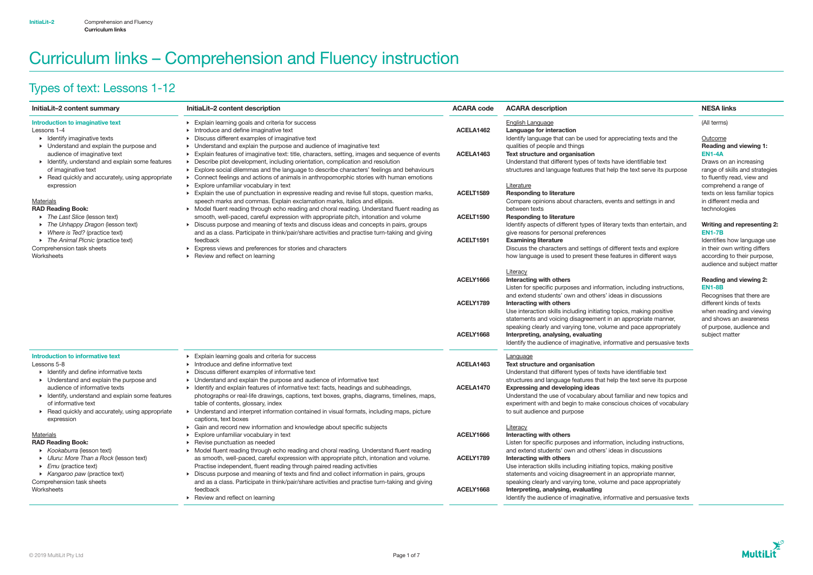# Curriculum links – Comprehension and Fluency instruction

# Types of text: Lessons 1-12

## **Outcome** Reading and viewing 1: EN1-4A

| InitiaLit-2 content summary                                                                                                                                                                                                                                                                                             | InitiaLit-2 content description                                                                                                                                                                                                                                                                                                                                                                                                                                                                                                                                                                                                                               | <b>ACARA code</b>                  | <b>ACARA description</b>                                                                                                                                                                                                                                                                                                                                | <b>NESA links</b>                                                                                                                |
|-------------------------------------------------------------------------------------------------------------------------------------------------------------------------------------------------------------------------------------------------------------------------------------------------------------------------|---------------------------------------------------------------------------------------------------------------------------------------------------------------------------------------------------------------------------------------------------------------------------------------------------------------------------------------------------------------------------------------------------------------------------------------------------------------------------------------------------------------------------------------------------------------------------------------------------------------------------------------------------------------|------------------------------------|---------------------------------------------------------------------------------------------------------------------------------------------------------------------------------------------------------------------------------------------------------------------------------------------------------------------------------------------------------|----------------------------------------------------------------------------------------------------------------------------------|
| Introduction to imaginative text<br>Lessons 1-4<br>$\triangleright$ Identify imaginative texts<br>• Understand and explain the purpose and<br>audience of imaginative text<br>• Identify, understand and explain some features<br>of imaginative text<br>▶ Read quickly and accurately, using appropriate<br>expression | Explain learning goals and criteria for success<br>Introduce and define imaginative text<br>Discuss different examples of imaginative text<br>Understand and explain the purpose and audience of imaginative text<br>Explain features of imaginative text: title, characters, setting, images and sequence of events<br>Describe plot development, including orientation, complication and resolution<br>Explore social dilemmas and the language to describe characters' feelings and behaviours<br>Connect feelings and actions of animals in anthropomorphic stories with human emotions<br>Explore unfamiliar vocabulary in text<br>$\blacktriangleright$ | ACELA1462<br>ACELA <sub>1463</sub> | <b>English Language</b><br>Language for interaction<br>Identify language that can be used for appreciating texts and the<br>qualities of people and things<br>Text structure and organisation<br>Understand that different types of texts have identifiable text<br>structures and language features that help the text serve its purpose<br>Literature | (All terms)<br>Outcome<br><b>Reading and</b><br><b>EN1-4A</b><br>Draws on an<br>range of skills<br>to fluently rea<br>comprehend |
| <b>Materials</b><br><b>RAD Reading Book:</b>                                                                                                                                                                                                                                                                            | Explain the use of punctuation in expressive reading and revise full stops, question marks,<br>speech marks and commas. Explain exclamation marks, italics and ellipsis.<br>> Model fluent reading through echo reading and choral reading. Understand fluent reading as                                                                                                                                                                                                                                                                                                                                                                                      | ACELT1589                          | <b>Responding to literature</b><br>Compare opinions about characters, events and settings in and<br>between texts                                                                                                                                                                                                                                       | texts on less<br>in different m<br>technologies                                                                                  |
| ▶ The Last Slice (lesson text)<br>The Unhappy Dragon (lesson text)<br>• Where is Ted? (practice text)                                                                                                                                                                                                                   | smooth, well-paced, careful expression with appropriate pitch, intonation and volume<br>• Discuss purpose and meaning of texts and discuss ideas and concepts in pairs, groups<br>and as a class. Participate in think/pair/share activities and practise turn-taking and giving                                                                                                                                                                                                                                                                                                                                                                              | ACELT1590                          | <b>Responding to literature</b><br>Identify aspects of different types of literary texts than entertain, and<br>give reasons for personal preferences                                                                                                                                                                                                   | <b>Writing and</b><br><b>EN1-7B</b>                                                                                              |
| The Animal Picnic (practice text)<br>Comprehension task sheets<br>Worksheets                                                                                                                                                                                                                                            | feedback<br>Express views and preferences for stories and characters<br>Review and reflect on learning                                                                                                                                                                                                                                                                                                                                                                                                                                                                                                                                                        | ACELT1591                          | <b>Examining literature</b><br>Discuss the characters and settings of different texts and explore<br>how language is used to present these features in different ways                                                                                                                                                                                   | Identifies hov<br>in their own \<br>according to<br>audience and                                                                 |
|                                                                                                                                                                                                                                                                                                                         |                                                                                                                                                                                                                                                                                                                                                                                                                                                                                                                                                                                                                                                               | ACELY1666                          | Literacy<br>Interacting with others<br>Listen for specific purposes and information, including instructions,<br>and extend students' own and others' ideas in discussions                                                                                                                                                                               | <b>Reading and</b><br><b>EN1-8B</b><br>Recognises 1                                                                              |
|                                                                                                                                                                                                                                                                                                                         |                                                                                                                                                                                                                                                                                                                                                                                                                                                                                                                                                                                                                                                               | ACELY1789<br>ACELY1668             | Interacting with others<br>Use interaction skills including initiating topics, making positive<br>statements and voicing disagreement in an appropriate manner,<br>speaking clearly and varying tone, volume and pace appropriately<br>Interpreting, analysing, evaluating                                                                              | different kind<br>when reading<br>and shows a<br>of purpose, a<br>subject matt                                                   |
| <b>Introduction to informative text</b>                                                                                                                                                                                                                                                                                 | Explain learning goals and criteria for success                                                                                                                                                                                                                                                                                                                                                                                                                                                                                                                                                                                                               |                                    | Identify the audience of imaginative, informative and persuasive texts<br>Language                                                                                                                                                                                                                                                                      |                                                                                                                                  |
| Lessons 5-8<br>• Identify and define informative texts<br>• Understand and explain the purpose and                                                                                                                                                                                                                      | $\triangleright$ Introduce and define informative text<br>Discuss different examples of informative text<br>Understand and explain the purpose and audience of informative text                                                                                                                                                                                                                                                                                                                                                                                                                                                                               | ACELA1463                          | Text structure and organisation<br>Understand that different types of texts have identifiable text<br>structures and language features that help the text serve its purpose                                                                                                                                                                             |                                                                                                                                  |
| audience of informative texts<br>• Identify, understand and explain some features<br>of informative text<br>Read quickly and accurately, using appropriate<br>expression                                                                                                                                                | • Identify and explain features of informative text: facts, headings and subheadings,<br>photographs or real-life drawings, captions, text boxes, graphs, diagrams, timelines, maps,<br>table of contents, glossary, index<br>• Understand and interpret information contained in visual formats, including maps, picture<br>captions, text boxes                                                                                                                                                                                                                                                                                                             | ACELA1470                          | <b>Expressing and developing ideas</b><br>Understand the use of vocabulary about familiar and new topics and<br>experiment with and begin to make conscious choices of vocabulary<br>to suit audience and purpose                                                                                                                                       |                                                                                                                                  |
| <b>Materials</b><br><b>RAD Reading Book:</b><br>▶ Kookaburra (lesson text)                                                                                                                                                                                                                                              | • Gain and record new information and knowledge about specific subjects<br>Explore unfamiliar vocabulary in text<br>▶ Revise punctuation as needed<br>• Model fluent reading through echo reading and choral reading. Understand fluent reading                                                                                                                                                                                                                                                                                                                                                                                                               | ACELY1666                          | <b>Literacy</b><br>Interacting with others<br>Listen for specific purposes and information, including instructions,<br>and extend students' own and others' ideas in discussions                                                                                                                                                                        |                                                                                                                                  |
| • Uluru: More Than a Rock (lesson text)<br>$\triangleright$ <i>Emu</i> (practice text)<br>▶ Kangaroo paw (practice text)                                                                                                                                                                                                | as smooth, well-paced, careful expression with appropriate pitch, intonation and volume.<br>Practise independent, fluent reading through paired reading activities<br>• Discuss purpose and meaning of texts and find and collect information in pairs, groups                                                                                                                                                                                                                                                                                                                                                                                                | ACELY1789                          | Interacting with others<br>Use interaction skills including initiating topics, making positive<br>statements and voicing disagreement in an appropriate manner,                                                                                                                                                                                         |                                                                                                                                  |
| Comprehension task sheets<br>Worksheets                                                                                                                                                                                                                                                                                 | and as a class. Participate in think/pair/share activities and practise turn-taking and giving<br>feedback<br>▶ Review and reflect on learning                                                                                                                                                                                                                                                                                                                                                                                                                                                                                                                | ACELY1668                          | speaking clearly and varying tone, volume and pace appropriately<br>Interpreting, analysing, evaluating<br>Identify the audience of imaginative, informative and persuasive texts                                                                                                                                                                       |                                                                                                                                  |

Draws on an increasing range of skills and strategies to fluently read, view and comprehend a range of texts on less familiar topics in different media and technologies

## Writing and representing 2: EN1-7B

Identifies how language use in their own writing differs according to their purpose, audience and subject matter

## Reading and viewing 2: EN1-8B

Recognises that there are different kinds of texts when reading and viewing and shows an awareness of purpose, audience and subject matter

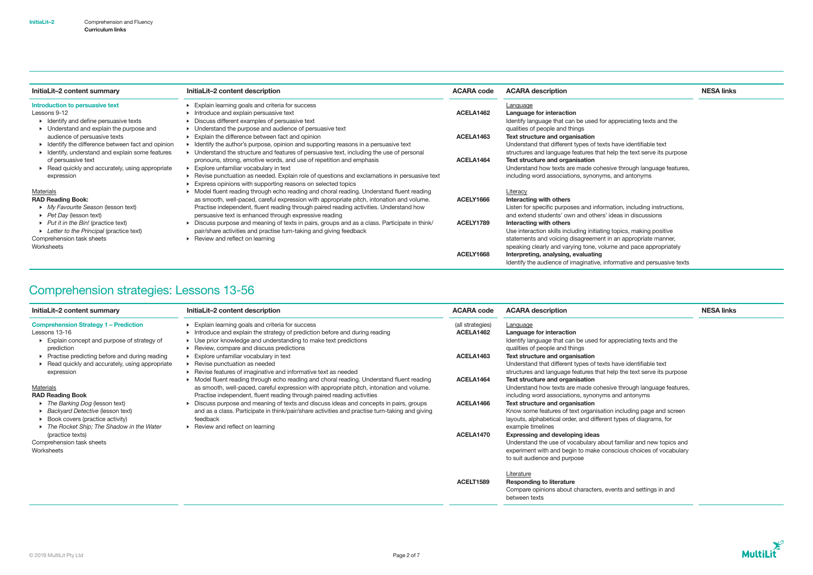| InitiaLit-2 content summary                                                                                                                                                   | InitiaLit-2 content description                                                                                                                                                                                                                                                                                                                                                                                                        | <b>ACARA code</b>      | <b>ACARA description</b>                                                                                                                                                                                                                                                                                                  | <b>NESA links</b> |
|-------------------------------------------------------------------------------------------------------------------------------------------------------------------------------|----------------------------------------------------------------------------------------------------------------------------------------------------------------------------------------------------------------------------------------------------------------------------------------------------------------------------------------------------------------------------------------------------------------------------------------|------------------------|---------------------------------------------------------------------------------------------------------------------------------------------------------------------------------------------------------------------------------------------------------------------------------------------------------------------------|-------------------|
| Introduction to persuasive text<br>Lessons 9-12<br>• Identify and define persuasive texts<br>$\triangleright$ Understand and explain the purpose and                          | Explain learning goals and criteria for success<br>Introduce and explain persuasive text<br>Discuss different examples of persuasive text<br>Understand the purpose and audience of persuasive text                                                                                                                                                                                                                                    | ACELA1462              | Language<br>Language for interaction<br>Identify language that can be used for appreciating texts and the<br>qualities of people and things                                                                                                                                                                               |                   |
| audience of persuasive texts<br>• Identify the difference between fact and opinion<br>• Identify, understand and explain some features                                        | Explain the difference between fact and opinion<br>Identify the author's purpose, opinion and supporting reasons in a persuasive text<br>Understand the structure and features of persuasive text, including the use of personal                                                                                                                                                                                                       | ACELA1463              | Text structure and organisation<br>Understand that different types of texts have identifiable text<br>structures and language features that help the text serve its purpose                                                                                                                                               |                   |
| of persuasive text<br>▶ Read quickly and accurately, using appropriate<br>expression                                                                                          | pronouns, strong, emotive words, and use of repetition and emphasis<br>Explore unfamiliar vocabulary in text<br>Revise punctuation as needed. Explain role of questions and exclamations in persuasive text<br>Express opinions with supporting reasons on selected topics                                                                                                                                                             | ACELA1464              | Text structure and organisation<br>Understand how texts are made cohesive through language features,<br>including word associations, synonyms, and antonyms                                                                                                                                                               |                   |
| Materials<br><b>RAD Reading Book:</b><br>• My Favourite Season (lesson text)<br>$\triangleright$ Pet Day (lesson text)<br>$\triangleright$ Put it in the Bin! (practice text) | Model fluent reading through echo reading and choral reading. Understand fluent reading<br>as smooth, well-paced, careful expression with appropriate pitch, intonation and volume.<br>Practise independent, fluent reading through paired reading activities. Understand how<br>persuasive text is enhanced through expressive reading<br>Discuss purpose and meaning of texts in pairs, groups and as a class. Participate in think/ | ACELY1666<br>ACELY1789 | <b>Literacy</b><br>Interacting with others<br>Listen for specific purposes and information, including instructions,<br>and extend students' own and others' ideas in discussions<br>Interacting with others                                                                                                               |                   |
| • Letter to the Principal (practice text)<br>Comprehension task sheets<br>Worksheets                                                                                          | pair/share activities and practise turn-taking and giving feedback<br>Review and reflect on learning                                                                                                                                                                                                                                                                                                                                   | ACELY1668              | Use interaction skills including initiating topics, making positive<br>statements and voicing disagreement in an appropriate manner,<br>speaking clearly and varying tone, volume and pace appropriately<br>Interpreting, analysing, evaluating<br>Identify the audience of imaginative, informative and persuasive texts |                   |

# Comprehension strategies: Lessons 13-56

| InitiaLit-2 content description                                                                                                                                                                    | <b>ACARA code</b>                                                                                                                                                                                                                                                                                             | <b>ACARA description</b>                                                                                                                                                                                          | <b>NESA links</b>                                                                                                                                                                                                 |
|----------------------------------------------------------------------------------------------------------------------------------------------------------------------------------------------------|---------------------------------------------------------------------------------------------------------------------------------------------------------------------------------------------------------------------------------------------------------------------------------------------------------------|-------------------------------------------------------------------------------------------------------------------------------------------------------------------------------------------------------------------|-------------------------------------------------------------------------------------------------------------------------------------------------------------------------------------------------------------------|
| Explain learning goals and criteria for success<br>Introduce and explain the strategy of prediction before and during reading                                                                      | (all strategies)<br>ACELA1462                                                                                                                                                                                                                                                                                 | Language<br>Language for interaction                                                                                                                                                                              |                                                                                                                                                                                                                   |
|                                                                                                                                                                                                    |                                                                                                                                                                                                                                                                                                               |                                                                                                                                                                                                                   |                                                                                                                                                                                                                   |
| Explore unfamiliar vocabulary in text                                                                                                                                                              | ACELA1463                                                                                                                                                                                                                                                                                                     | Text structure and organisation                                                                                                                                                                                   |                                                                                                                                                                                                                   |
| ▶ Revise punctuation as needed                                                                                                                                                                     |                                                                                                                                                                                                                                                                                                               | Understand that different types of texts have identifiable text                                                                                                                                                   |                                                                                                                                                                                                                   |
| ▶ Model fluent reading through echo reading and choral reading. Understand fluent reading<br>as smooth, well-paced, careful expression with appropriate pitch, intonation and volume.              | ACELA1464                                                                                                                                                                                                                                                                                                     | structures and language features that help the text serve its purpose<br>Text structure and organisation<br>Understand how texts are made cohesive through language features,                                     |                                                                                                                                                                                                                   |
| Discuss purpose and meaning of texts and discuss ideas and concepts in pairs, groups<br>and as a class. Participate in think/pair/share activities and practise turn-taking and giving<br>feedback | ACELA1466                                                                                                                                                                                                                                                                                                     | Text structure and organisation<br>Know some features of text organisation including page and screen<br>layouts, alphabetical order, and different types of diagrams, for                                         |                                                                                                                                                                                                                   |
|                                                                                                                                                                                                    | ACELA1470                                                                                                                                                                                                                                                                                                     | <b>Expressing and developing ideas</b><br>Understand the use of vocabulary about familiar and new topics and<br>experiment with and begin to make conscious choices of vocabulary<br>to suit audience and purpose |                                                                                                                                                                                                                   |
|                                                                                                                                                                                                    |                                                                                                                                                                                                                                                                                                               | Literature                                                                                                                                                                                                        |                                                                                                                                                                                                                   |
|                                                                                                                                                                                                    |                                                                                                                                                                                                                                                                                                               | Compare opinions about characters, events and settings in and<br>between texts                                                                                                                                    |                                                                                                                                                                                                                   |
|                                                                                                                                                                                                    | • Use prior knowledge and understanding to make text predictions<br>▶ Review, compare and discuss predictions<br>▶ Revise features of imaginative and informative text as needed<br>Practise independent, fluent reading through paired reading activities<br>$\triangleright$ Review and reflect on learning | ACELT1589                                                                                                                                                                                                         | Identify language that can be used for appreciating texts and the<br>qualities of people and things<br>including word associations, synonyms and antonyms<br>example timelines<br><b>Responding to literature</b> |

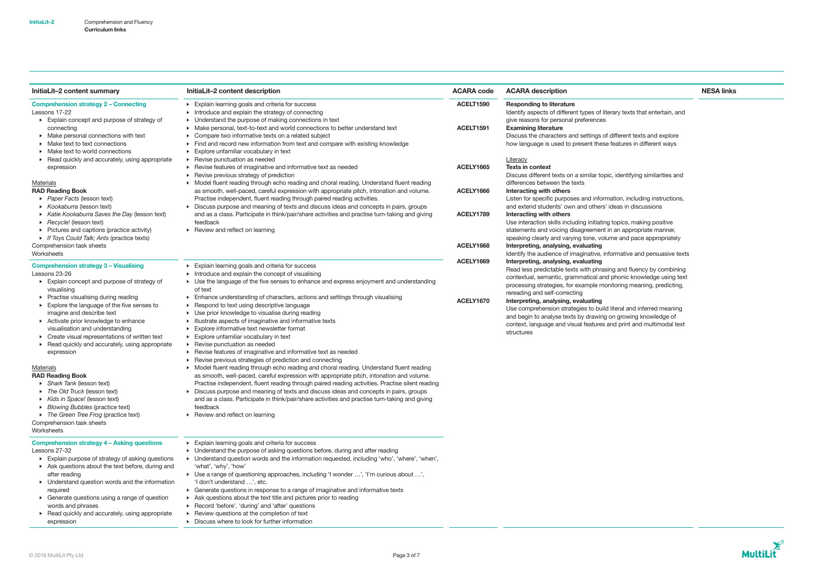| InitiaLit-2 content summary                                                                                                                                                                                                                                                                                                                                                                                                                                                                                                                                                                                                                                                                                                             | InitiaLit-2 content description                                                                                                                                                                                                                                                                                                                                                                                                                                                                                                                                                                                                                                                                                                                                                                                                                                                                                                                                                                                                                                                                                                                                                                                                                                             | <b>ACARA code</b>                                | <b>ACARA description</b>                                                                                                                                                                                                                                                                                                                                                                                                                                                                                                                                                                                                           | <b>NESA links</b> |
|-----------------------------------------------------------------------------------------------------------------------------------------------------------------------------------------------------------------------------------------------------------------------------------------------------------------------------------------------------------------------------------------------------------------------------------------------------------------------------------------------------------------------------------------------------------------------------------------------------------------------------------------------------------------------------------------------------------------------------------------|-----------------------------------------------------------------------------------------------------------------------------------------------------------------------------------------------------------------------------------------------------------------------------------------------------------------------------------------------------------------------------------------------------------------------------------------------------------------------------------------------------------------------------------------------------------------------------------------------------------------------------------------------------------------------------------------------------------------------------------------------------------------------------------------------------------------------------------------------------------------------------------------------------------------------------------------------------------------------------------------------------------------------------------------------------------------------------------------------------------------------------------------------------------------------------------------------------------------------------------------------------------------------------|--------------------------------------------------|------------------------------------------------------------------------------------------------------------------------------------------------------------------------------------------------------------------------------------------------------------------------------------------------------------------------------------------------------------------------------------------------------------------------------------------------------------------------------------------------------------------------------------------------------------------------------------------------------------------------------------|-------------------|
| <b>Comprehension strategy 2 - Connecting</b><br>Lessons 17-22<br>Explain concept and purpose of strategy of<br>connecting<br>$\triangleright$ Make personal connections with text<br>• Make text to text connections<br>• Make text to world connections                                                                                                                                                                                                                                                                                                                                                                                                                                                                                | Explain learning goals and criteria for success<br>$\triangleright$ Introduce and explain the strategy of connecting<br>• Understand the purpose of making connections in text<br>• Make personal, text-to-text and world connections to better understand text<br>• Compare two informative texts on a related subject<br>Find and record new information from text and compare with existing knowledge<br>$\triangleright$ Explore unfamiliar vocabulary in text<br>▶ Revise punctuation as needed                                                                                                                                                                                                                                                                                                                                                                                                                                                                                                                                                                                                                                                                                                                                                                        | ACELT1590<br>ACELT1591                           | <b>Responding to literature</b><br>Identify aspects of different types of literary texts that entertain, and<br>give reasons for personal preferences<br><b>Examining literature</b><br>Discuss the characters and settings of different texts and explore<br>how language is used to present these features in different ways                                                                                                                                                                                                                                                                                                     |                   |
| ▶ Read quickly and accurately, using appropriate<br>expression<br><b>Materials</b><br><b>RAD Reading Book</b><br>▶ Paper Facts (lesson text)<br>▶ Kookaburra (lesson text)<br>▶ Katie Kookaburra Saves the Day (lesson text)<br>Recycle! (lesson text)<br>• Pictures and captions (practice activity)<br>• If Toys Could Talk; Ants (practice texts)<br>Comprehension task sheets                                                                                                                                                                                                                                                                                                                                                       | ▶ Revise features of imaginative and informative text as needed<br>▶ Revise previous strategy of prediction<br>> Model fluent reading through echo reading and choral reading. Understand fluent reading<br>as smooth, well-paced, careful expression with appropriate pitch, intonation and volume.<br>Practise independent, fluent reading through paired reading activities.<br>• Discuss purpose and meaning of texts and discuss ideas and concepts in pairs, groups<br>and as a class. Participate in think/pair/share activities and practise turn-taking and giving<br>feedback<br>$\triangleright$ Review and reflect on learning                                                                                                                                                                                                                                                                                                                                                                                                                                                                                                                                                                                                                                  | ACELY1665<br>ACELY1666<br>ACELY1789<br>ACELY1668 | Literacy<br><b>Texts in context</b><br>Discuss different texts on a similar topic, identifying similarities and<br>differences between the texts<br>Interacting with others<br>Listen for specific purposes and information, including instructions,<br>and extend students' own and others' ideas in discussions<br>Interacting with others<br>Use interaction skills including initiating topics, making positive<br>statements and voicing disagreement in an appropriate manner,<br>speaking clearly and varying tone, volume and pace appropriately<br>Interpreting, analysing, evaluating                                    |                   |
| Worksheets<br><b>Comprehension strategy 3 - Visualising</b><br>Lessons 23-26<br>Explain concept and purpose of strategy of<br>visualising<br>▶ Practise visualising during reading<br>Explore the language of the five senses to<br>imagine and describe text<br>▶ Activate prior knowledge to enhance<br>visualisation and understanding<br>Create visual representations of written text<br>▶ Read quickly and accurately, using appropriate<br>expression<br>Materials<br><b>RAD Reading Book</b><br>$\triangleright$ Shark Tank (lesson text)<br>The Old Truck (lesson text)<br>Kids in Space! (lesson text)<br>• Blowing Bubbles (practice text)<br>The Green Tree Frog (practice text)<br>Comprehension task sheets<br>Worksheets | Explain learning goals and criteria for success<br>Introduce and explain the concept of visualising<br>• Use the language of the five senses to enhance and express enjoyment and understanding<br>of text<br>Enhance understanding of characters, actions and settings through visualising<br>▶ Respond to text using descriptive language<br>• Use prior knowledge to visualise during reading<br>Illustrate aspects of imaginative and informative texts<br>Explore informative text newsletter format<br>Explore unfamiliar vocabulary in text<br>$\triangleright$ Revise punctuation as needed<br>▶ Revise features of imaginative and informative text as needed<br>▶ Revise previous strategies of prediction and connecting<br>> Model fluent reading through echo reading and choral reading. Understand fluent reading<br>as smooth, well-paced, careful expression with appropriate pitch, intonation and volume.<br>Practise independent, fluent reading through paired reading activities. Practise silent reading<br>• Discuss purpose and meaning of texts and discuss ideas and concepts in pairs, groups<br>and as a class. Participate in think/pair/share activities and practise turn-taking and giving<br>feedback<br>▶ Review and reflect on learning | ACELY1669<br><b>ACELY1670</b>                    | Identify the audience of imaginative, informative and persuasive texts<br>Interpreting, analysing, evaluating<br>Read less predictable texts with phrasing and fluency by combining<br>contextual, semantic, grammatical and phonic knowledge using text<br>processing strategies, for example monitoring meaning, predicting,<br>rereading and self-correcting<br>Interpreting, analysing, evaluating<br>Use comprehension strategies to build literal and inferred meaning<br>and begin to analyse texts by drawing on growing knowledge of<br>context, language and visual features and print and multimodal text<br>structures |                   |
| <b>Comprehension strategy 4 - Asking questions</b><br>Lessons 27-32<br>Explain purpose of strategy of asking questions<br>Ask questions about the text before, during and<br>after reading<br>• Understand question words and the information<br>required<br>• Generate questions using a range of question<br>words and phrases<br>Read quickly and accurately, using appropriate<br>expression                                                                                                                                                                                                                                                                                                                                        | Explain learning goals and criteria for success<br>• Understand the purpose of asking questions before, during and after reading<br>▶ Understand question words and the information requested, including 'who', 'where', 'when',<br>'what', 'why', 'how'<br>▶ Use a range of questioning approaches, including 'I wonder ', 'I'm curious about ',<br>'I don't understand ', etc.<br>▶ Generate questions in response to a range of imaginative and informative texts<br>Ask questions about the text title and pictures prior to reading<br>▶ Record 'before', 'during' and 'after' questions<br>▶ Review questions at the completion of text<br>Discuss where to look for further information                                                                                                                                                                                                                                                                                                                                                                                                                                                                                                                                                                              |                                                  |                                                                                                                                                                                                                                                                                                                                                                                                                                                                                                                                                                                                                                    |                   |

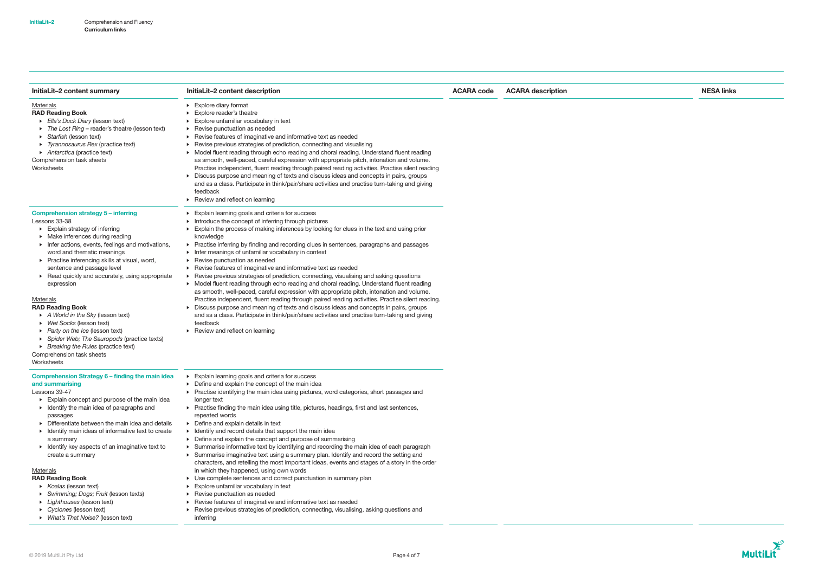| InitiaLit-2 content summary                                                                                                                                                                                                                                                                                                                                                                                                                                                                                                                                                                                                                                            | InitiaLit-2 content description                                                                                                                                                                                                                                                                                                                                                                                                                                                                                                                                                                                                                                                                                                                                                                                                                                                                                                                                                                                                                                                                                                                                    | <b>ACARA code</b> | <b>ACARA description</b> | <b>NESA links</b> |
|------------------------------------------------------------------------------------------------------------------------------------------------------------------------------------------------------------------------------------------------------------------------------------------------------------------------------------------------------------------------------------------------------------------------------------------------------------------------------------------------------------------------------------------------------------------------------------------------------------------------------------------------------------------------|--------------------------------------------------------------------------------------------------------------------------------------------------------------------------------------------------------------------------------------------------------------------------------------------------------------------------------------------------------------------------------------------------------------------------------------------------------------------------------------------------------------------------------------------------------------------------------------------------------------------------------------------------------------------------------------------------------------------------------------------------------------------------------------------------------------------------------------------------------------------------------------------------------------------------------------------------------------------------------------------------------------------------------------------------------------------------------------------------------------------------------------------------------------------|-------------------|--------------------------|-------------------|
| <b>Materials</b><br><b>RAD Reading Book</b><br>Ella's Duck Diary (lesson text)<br>The Lost Ring - reader's theatre (lesson text)<br>Starfish (lesson text)<br>• Tyrannosaurus Rex (practice text)<br>Antarctica (practice text)<br>Comprehension task sheets<br>Worksheets                                                                                                                                                                                                                                                                                                                                                                                             | $\triangleright$ Explore diary format<br>Explore reader's theatre<br>Explore unfamiliar vocabulary in text<br>▶ Revise punctuation as needed<br>▶ Revise features of imaginative and informative text as needed<br>▶ Revise previous strategies of prediction, connecting and visualising<br>• Model fluent reading through echo reading and choral reading. Understand fluent reading<br>as smooth, well-paced, careful expression with appropriate pitch, intonation and volume.<br>Practise independent, fluent reading through paired reading activities. Practise silent reading<br>Discuss purpose and meaning of texts and discuss ideas and concepts in pairs, groups<br>and as a class. Participate in think/pair/share activities and practise turn-taking and giving<br>feedback<br>$\triangleright$ Review and reflect on learning                                                                                                                                                                                                                                                                                                                     |                   |                          |                   |
| <b>Comprehension strategy 5 - inferring</b><br>Lessons 33-38<br>$\triangleright$ Explain strategy of inferring<br>• Make inferences during reading<br>Infer actions, events, feelings and motivations,<br>word and thematic meanings<br>▶ Practise inferencing skills at visual, word,<br>sentence and passage level<br>▶ Read quickly and accurately, using appropriate<br>expression<br>Materials<br><b>RAD Reading Book</b><br>A World in the Sky (lesson text)<br>▶ Wet Socks (lesson text)<br>▶ Party on the Ice (lesson text)<br>> Spider Web; The Sauropods (practice texts)<br>▶ Breaking the Rules (practice text)<br>Comprehension task sheets<br>Worksheets | Explain learning goals and criteria for success<br>Introduce the concept of inferring through pictures<br>Explain the process of making inferences by looking for clues in the text and using prior<br>knowledge<br>• Practise inferring by finding and recording clues in sentences, paragraphs and passages<br>Infer meanings of unfamiliar vocabulary in context<br>▶ Revise punctuation as needed<br>▶ Revise features of imaginative and informative text as needed<br>▶ Revise previous strategies of prediction, connecting, visualising and asking questions<br>• Model fluent reading through echo reading and choral reading. Understand fluent reading<br>as smooth, well-paced, careful expression with appropriate pitch, intonation and volume.<br>Practise independent, fluent reading through paired reading activities. Practise silent reading.<br>Discuss purpose and meaning of texts and discuss ideas and concepts in pairs, groups<br>and as a class. Participate in think/pair/share activities and practise turn-taking and giving<br>feedback<br>▶ Review and reflect on learning                                                        |                   |                          |                   |
| Comprehension Strategy 6 - finding the main idea<br>and summarising<br>Lessons 39-47<br>Explain concept and purpose of the main idea<br>• Identify the main idea of paragraphs and<br>passages<br>• Differentiate between the main idea and details<br>• Identify main ideas of informative text to create<br>a summary<br>• Identify key aspects of an imaginative text to<br>create a summary<br><b>Materials</b><br><b>RAD Reading Book</b><br>$\triangleright$ Koalas (lesson text)<br>Swimming; Dogs; Fruit (lesson texts)<br>• Lighthouses (lesson text)<br>$\triangleright$ Cyclones (lesson text)<br>▶ What's That Noise? (lesson text)                        | Explain learning goals and criteria for success<br>▶ Define and explain the concept of the main idea<br>• Practise identifying the main idea using pictures, word categories, short passages and<br>longer text<br>▶ Practise finding the main idea using title, pictures, headings, first and last sentences,<br>repeated words<br>▶ Define and explain details in text<br>• Identify and record details that support the main idea<br>• Define and explain the concept and purpose of summarising<br>> Summarise informative text by identifying and recording the main idea of each paragraph<br>> Summarise imaginative text using a summary plan. Identify and record the setting and<br>characters, and retelling the most important ideas, events and stages of a story in the order<br>in which they happened, using own words<br>• Use complete sentences and correct punctuation in summary plan<br>Explore unfamiliar vocabulary in text<br>▶ Revise punctuation as needed<br>▶ Revise features of imaginative and informative text as needed<br>▶ Revise previous strategies of prediction, connecting, visualising, asking questions and<br>inferring |                   |                          |                   |

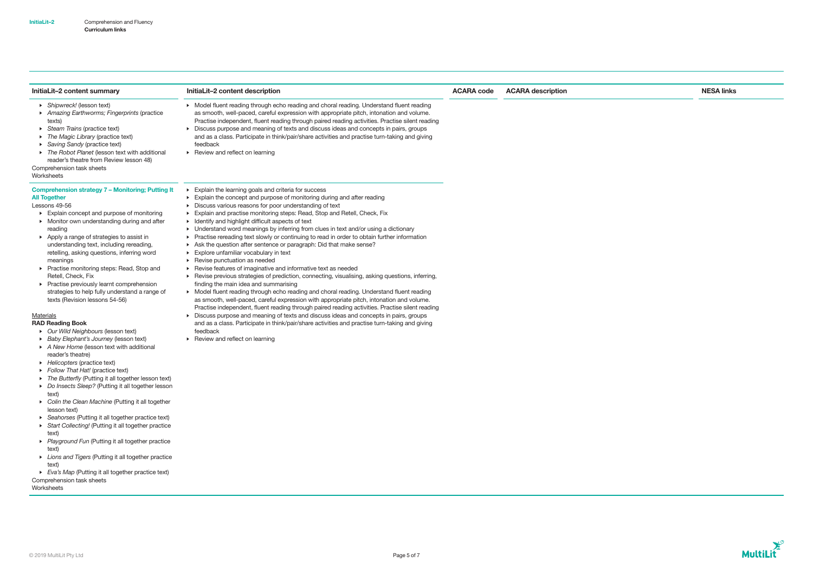| InitiaLit-2 content summary                                                                                                                                                                                                                                                                                                                                                                                                                                                                                                                                                                                                                                                                                                                                                                                                                                                                                                                                                                                                                                                                                                                                                                                                                                                                                                                                                   | InitiaLit-2 content description                                                                                                                                                                                                                                                                                                                                                                                                                                                                                                                                                                                                                                                                                                                                                                                                                                                                                                                                                                                                                                                                                                                                                                                                                                                                                                                                                                                                           | <b>ACARA code</b> | <b>ACARA description</b> | <b>NESA links</b> |
|-------------------------------------------------------------------------------------------------------------------------------------------------------------------------------------------------------------------------------------------------------------------------------------------------------------------------------------------------------------------------------------------------------------------------------------------------------------------------------------------------------------------------------------------------------------------------------------------------------------------------------------------------------------------------------------------------------------------------------------------------------------------------------------------------------------------------------------------------------------------------------------------------------------------------------------------------------------------------------------------------------------------------------------------------------------------------------------------------------------------------------------------------------------------------------------------------------------------------------------------------------------------------------------------------------------------------------------------------------------------------------|-------------------------------------------------------------------------------------------------------------------------------------------------------------------------------------------------------------------------------------------------------------------------------------------------------------------------------------------------------------------------------------------------------------------------------------------------------------------------------------------------------------------------------------------------------------------------------------------------------------------------------------------------------------------------------------------------------------------------------------------------------------------------------------------------------------------------------------------------------------------------------------------------------------------------------------------------------------------------------------------------------------------------------------------------------------------------------------------------------------------------------------------------------------------------------------------------------------------------------------------------------------------------------------------------------------------------------------------------------------------------------------------------------------------------------------------|-------------------|--------------------------|-------------------|
| ▶ Shipwreck! (lesson text)<br>Amazing Earthworms; Fingerprints (practice<br>texts)<br>Steam Trains (practice text)<br>The Magic Library (practice text)<br>▶ Saving Sandy (practice text)<br>The Robot Planet (lesson text with additional<br>reader's theatre from Review lesson 48)<br>Comprehension task sheets<br>Worksheets                                                                                                                                                                                                                                                                                                                                                                                                                                                                                                                                                                                                                                                                                                                                                                                                                                                                                                                                                                                                                                              | • Model fluent reading through echo reading and choral reading. Understand fluent reading<br>as smooth, well-paced, careful expression with appropriate pitch, intonation and volume.<br>Practise independent, fluent reading through paired reading activities. Practise silent reading<br>• Discuss purpose and meaning of texts and discuss ideas and concepts in pairs, groups<br>and as a class. Participate in think/pair/share activities and practise turn-taking and giving<br>feedback<br>$\triangleright$ Review and reflect on learning                                                                                                                                                                                                                                                                                                                                                                                                                                                                                                                                                                                                                                                                                                                                                                                                                                                                                       |                   |                          |                   |
| <b>Comprehension strategy 7 - Monitoring; Putting It</b><br><b>All Together</b><br>Lessons 49-56<br>Explain concept and purpose of monitoring<br>• Monitor own understanding during and after<br>reading<br>Apply a range of strategies to assist in<br>understanding text, including rereading,<br>retelling, asking questions, inferring word<br>meanings<br>▶ Practise monitoring steps: Read, Stop and<br>Retell, Check, Fix<br>▶ Practise previously learnt comprehension<br>strategies to help fully understand a range of<br>texts (Revision lessons 54-56)<br>Materials<br><b>RAD Reading Book</b><br>• Our Wild Neighbours (lesson text)<br>Baby Elephant's Journey (lesson text)<br>A New Home (lesson text with additional<br>reader's theatre)<br>Helicopters (practice text)<br>Follow That Hat! (practice text)<br>The Butterfly (Putting it all together lesson text)<br>Do Insects Sleep? (Putting it all together lesson<br>text)<br>> Colin the Clean Machine (Putting it all together<br>lesson text)<br>▶ Seahorses (Putting it all together practice text)<br>Start Collecting! (Putting it all together practice<br>text)<br>Playground Fun (Putting it all together practice<br>text)<br>• Lions and Tigers (Putting it all together practice<br>text)<br>Eva's Map (Putting it all together practice text)<br>Comprehension task sheets<br>Worksheets | Explain the learning goals and criteria for success<br>Explain the concept and purpose of monitoring during and after reading<br>Discuss various reasons for poor understanding of text<br>Explain and practise monitoring steps: Read, Stop and Retell, Check, Fix<br>• Identify and highlight difficult aspects of text<br>• Understand word meanings by inferring from clues in text and/or using a dictionary<br>Practise rereading text slowly or continuing to read in order to obtain further information<br>Ask the question after sentence or paragraph: Did that make sense?<br>Explore unfamiliar vocabulary in text<br>▶ Revise punctuation as needed<br>▶ Revise features of imaginative and informative text as needed<br>▶ Revise previous strategies of prediction, connecting, visualising, asking questions, inferring,<br>finding the main idea and summarising<br>> Model fluent reading through echo reading and choral reading. Understand fluent reading<br>as smooth, well-paced, careful expression with appropriate pitch, intonation and volume.<br>Practise independent, fluent reading through paired reading activities. Practise silent reading<br>• Discuss purpose and meaning of texts and discuss ideas and concepts in pairs, groups<br>and as a class. Participate in think/pair/share activities and practise turn-taking and giving<br>feedback<br>$\triangleright$ Review and reflect on learning |                   |                          |                   |

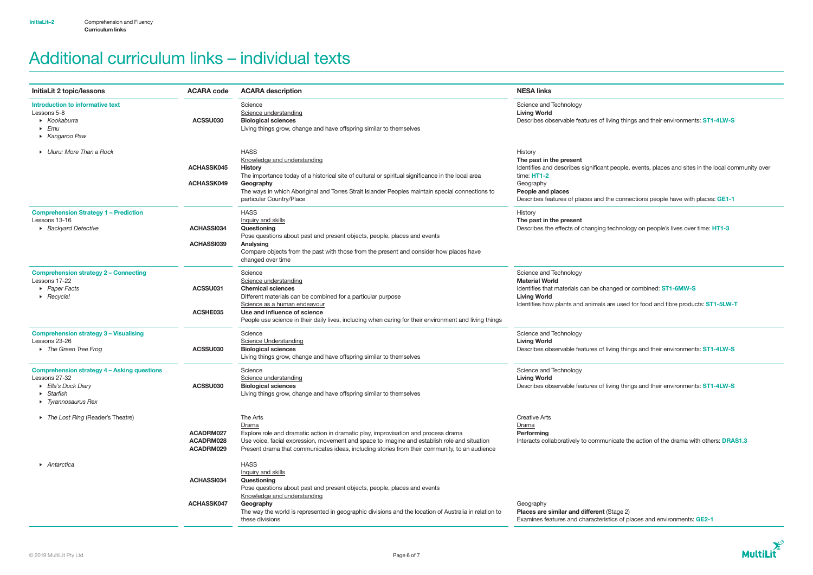# Additional curriculum links – individual texts

| InitiaLit 2 topic/lessons                                                                                                                  | <b>ACARA code</b>                   | <b>ACARA description</b>                                                                                                                                                                                                                                                                                      | <b>NESA links</b>                                                                                                                                                       |
|--------------------------------------------------------------------------------------------------------------------------------------------|-------------------------------------|---------------------------------------------------------------------------------------------------------------------------------------------------------------------------------------------------------------------------------------------------------------------------------------------------------------|-------------------------------------------------------------------------------------------------------------------------------------------------------------------------|
| Introduction to informative text<br>Lessons 5-8<br>$\triangleright$ Kookaburra<br>$\blacktriangleright$ Emu<br>▶ Kangaroo Paw              | ACSSU030                            | Science<br>Science understanding<br><b>Biological sciences</b><br>Living things grow, change and have offspring similar to themselves                                                                                                                                                                         | Science and Technology<br><b>Living World</b><br>Describes observable features of livi                                                                                  |
| • Uluru: More Than a Rock                                                                                                                  | ACHASSK045<br><b>ACHASSK049</b>     | <b>HASS</b><br>Knowledge and understanding<br><b>History</b><br>The importance today of a historical site of cultural or spiritual significance in the local area<br>Geography<br>The ways in which Aboriginal and Torres Strait Islander Peoples maintain special connections to<br>particular Country/Place | History<br>The past in the present<br>Identifies and describes significant p<br>time: $HT1-2$<br>Geography<br>People and places<br>Describes features of places and the |
| <b>Comprehension Strategy 1 - Prediction</b><br>Lessons 13-16<br>▶ Backyard Detective                                                      | <b>ACHASSI034</b><br>ACHASSI039     | <b>HASS</b><br><b>Inquiry and skills</b><br>Questioning<br>Pose questions about past and present objects, people, places and events<br>Analysing<br>Compare objects from the past with those from the present and consider how places have<br>changed over time                                               | History<br>The past in the present<br>Describes the effects of changing te                                                                                              |
| <b>Comprehension strategy 2 - Connecting</b><br>Lessons 17-22<br>▶ Paper Facts<br>$\triangleright$ Recycle!                                | ACSSU031<br>ACSHE035                | Science<br>Science understanding<br><b>Chemical sciences</b><br>Different materials can be combined for a particular purpose<br>Science as a human endeavour<br>Use and influence of science<br>People use science in their daily lives, including when caring for their environment and living things        | Science and Technology<br><b>Material World</b><br>Identifies that materials can be chan<br><b>Living World</b><br>Identifies how plants and animals ar                 |
| <b>Comprehension strategy 3 - Visualising</b><br>Lessons 23-26<br>The Green Tree Frog                                                      | ACSSU030                            | Science<br><b>Science Understanding</b><br><b>Biological sciences</b><br>Living things grow, change and have offspring similar to themselves                                                                                                                                                                  | Science and Technology<br><b>Living World</b><br>Describes observable features of livi                                                                                  |
| <b>Comprehension strategy 4 - Asking questions</b><br>Lessons 27-32<br>Ella's Duck Diary<br>Starfish<br>$\triangleright$ Tyrannosaurus Rex | ACSSU030                            | Science<br>Science understanding<br><b>Biological sciences</b><br>Living things grow, change and have offspring similar to themselves                                                                                                                                                                         | Science and Technology<br><b>Living World</b><br>Describes observable features of livi                                                                                  |
| The Lost Ring (Reader's Theatre)                                                                                                           | ACADRM027<br>ACADRM028<br>ACADRM029 | The Arts<br>Drama<br>Explore role and dramatic action in dramatic play, improvisation and process drama<br>Use voice, facial expression, movement and space to imagine and establish role and situation<br>Present drama that communicates ideas, including stories from their community, to an audience      | <b>Creative Arts</b><br>Drama<br>Performing<br>Interacts collaboratively to commun                                                                                      |
| • Antarctica                                                                                                                               | <b>ACHASSI034</b>                   | <b>HASS</b><br>Inquiry and skills<br>Questioning<br>Pose questions about past and present objects, people, places and events<br>Knowledge and understanding                                                                                                                                                   |                                                                                                                                                                         |
|                                                                                                                                            | ACHASSK047                          | Geography<br>The way the world is represented in geographic divisions and the location of Australia in relation to<br>these divisions                                                                                                                                                                         | Geography<br>Places are similar and different (S)<br>Examines features and characteristi                                                                                |

ing things and their environments: ST1-4LW-S

people, events, places and sites in the local community over

e connections people have with places: GE1-1

echnology on people's lives over time: HT1-3

Identified: ST1-6MW-S

Incentifies we dentified and fibre products: ST1-5LW-T

ing things and their environments: ST1-4LW-S

ing things and their environments: **ST1-4LW-S** 

icate the action of the drama with others: DRAS1.3

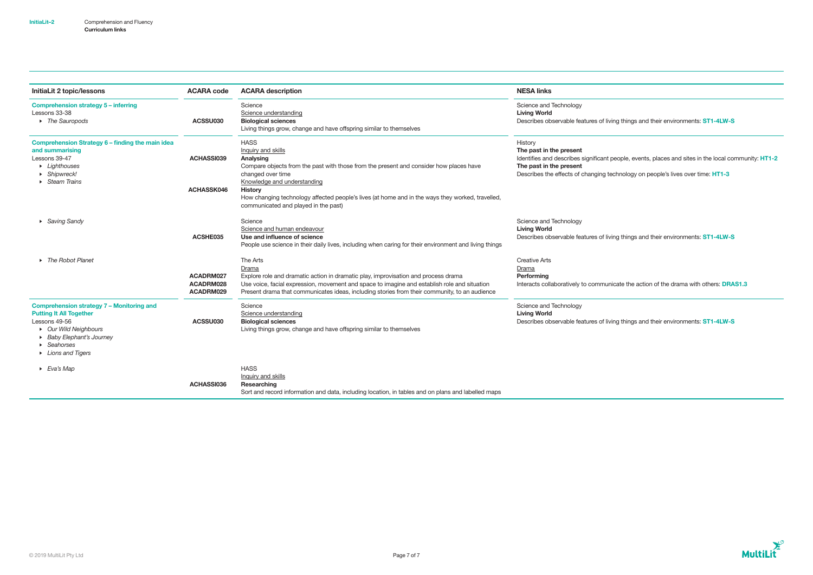| <b>InitiaLit 2 topic/lessons</b>                                                                                                                                                                            | <b>ACARA code</b>                      | <b>ACARA</b> description                                                                                                                                                                                                                                                                                                                                   | <b>NESA links</b>                                                                                                                                |
|-------------------------------------------------------------------------------------------------------------------------------------------------------------------------------------------------------------|----------------------------------------|------------------------------------------------------------------------------------------------------------------------------------------------------------------------------------------------------------------------------------------------------------------------------------------------------------------------------------------------------------|--------------------------------------------------------------------------------------------------------------------------------------------------|
| <b>Comprehension strategy 5 - inferring</b><br>Lessons 33-38<br>• The Sauropods                                                                                                                             | ACSSU030                               | Science<br>Science understanding<br><b>Biological sciences</b><br>Living things grow, change and have offspring similar to themselves                                                                                                                                                                                                                      | Science and Technology<br><b>Living World</b><br>Describes observable features of livir                                                          |
| Comprehension Strategy 6 - finding the main idea<br>and summarising<br>Lessons 39-47<br>• Lighthouses<br>$\triangleright$ Shipwreck!<br>$\triangleright$ Steam Trains                                       | <b>ACHASSI039</b><br><b>ACHASSK046</b> | <b>HASS</b><br>Inquiry and skills<br>Analysing<br>Compare objects from the past with those from the present and consider how places have<br>changed over time<br>Knowledge and understanding<br><b>History</b><br>How changing technology affected people's lives (at home and in the ways they worked, travelled,<br>communicated and played in the past) | History<br>The past in the present<br>Identifies and describes significant p<br>The past in the present<br>Describes the effects of changing tee |
| ▶ Saving Sandy                                                                                                                                                                                              | ACSHE035                               | Science<br>Science and human endeavour<br>Use and influence of science<br>People use science in their daily lives, including when caring for their environment and living things                                                                                                                                                                           | Science and Technology<br><b>Living World</b><br>Describes observable features of livir                                                          |
| ▶ The Robot Planet                                                                                                                                                                                          | ACADRM027<br>ACADRM028<br>ACADRM029    | The Arts<br>Drama<br>Explore role and dramatic action in dramatic play, improvisation and process drama<br>Use voice, facial expression, movement and space to imagine and establish role and situation<br>Present drama that communicates ideas, including stories from their community, to an audience                                                   | <b>Creative Arts</b><br>Drama<br>Performing<br>Interacts collaboratively to communi                                                              |
| <b>Comprehension strategy 7 - Monitoring and</b><br><b>Putting It All Together</b><br>Lessons 49-56<br>• Our Wild Neighbours<br>Baby Elephant's Journey<br>$\triangleright$ Seahorses<br>• Lions and Tigers | ACSSU030                               | Science<br>Science understanding<br><b>Biological sciences</b><br>Living things grow, change and have offspring similar to themselves                                                                                                                                                                                                                      | Science and Technology<br><b>Living World</b><br>Describes observable features of livir                                                          |
| $\triangleright$ Eva's Map                                                                                                                                                                                  | ACHASSI036                             | <b>HASS</b><br>Inquiry and skills<br><b>Researching</b><br>Sort and record information and data, including location, in tables and on plans and labelled maps                                                                                                                                                                                              |                                                                                                                                                  |

ing things and their environments: ST1-4LW-S

people, events, places and sites in the local community: HT1-2 echnology on people's lives over time: HT1-3

ing things and their environments: ST1-4LW-S

icate the action of the drama with others: DRAS1.3

ing things and their environments: ST1-4LW-S

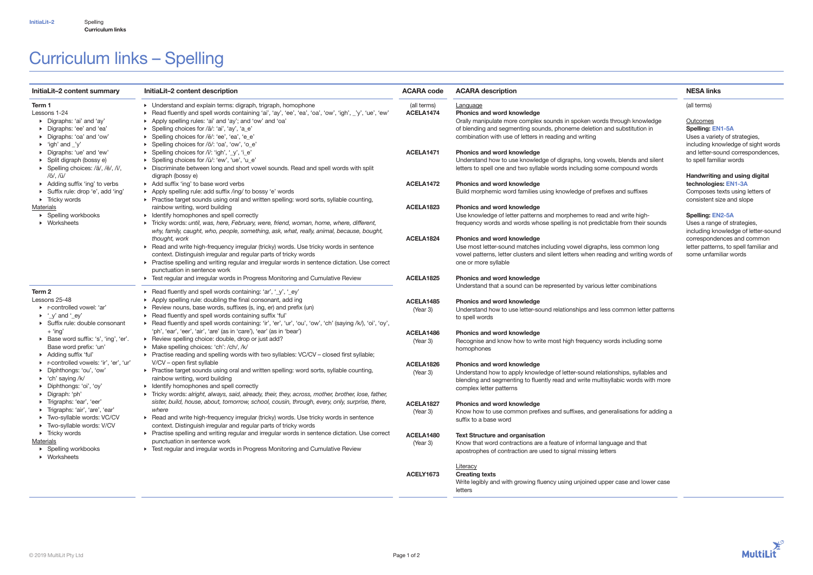Curriculum links

# Curriculum links – Spelling

| InitiaLit-2 content summary                                                                                                                                         | InitiaLit-2 content description                                                                                                                                                                                                                                                                                                                                                   | <b>ACARA code</b>        | <b>ACARA description</b>                                                                                                                                                                                                                               | <b>NESA links</b>                                                                                                         |
|---------------------------------------------------------------------------------------------------------------------------------------------------------------------|-----------------------------------------------------------------------------------------------------------------------------------------------------------------------------------------------------------------------------------------------------------------------------------------------------------------------------------------------------------------------------------|--------------------------|--------------------------------------------------------------------------------------------------------------------------------------------------------------------------------------------------------------------------------------------------------|---------------------------------------------------------------------------------------------------------------------------|
| Term 1<br>Lessons 1-24<br>Digraphs: 'ai' and 'ay'<br>• Digraphs: 'ee' and 'ea'<br>▶ Digraphs: 'oa' and 'ow'<br>$\triangleright$ 'igh' and 'y'                       | • Understand and explain terms: digraph, trigraph, homophone<br>Read fluently and spell words containing 'ai', 'ay', 'ee', 'ea', 'oa', 'ow', 'igh', _'y', 'ue', 'ew'<br>Apply spelling rules: 'ai' and 'ay'; and 'ow' and 'oa'<br>> Spelling choices for /ā/: 'ai', 'ay', 'a_e'<br>▶ Spelling choices for /ē/: 'ee', 'ea', 'e_e'<br>> Spelling choices for /ō/: 'oa', 'ow', 'o_e' | (all terms)<br>ACELA1474 | Language<br>Phonics and word knowledge<br>Orally manipulate more complex sounds in spoken words through knowledge<br>of blending and segmenting sounds, phoneme deletion and substitution in<br>combination with use of letters in reading and writing | (all terms)<br>Outcomes<br><b>Spelling: EN1-5A</b><br>Uses a variety of strategies,<br>including knowledge of sight words |
| Digraphs: 'ue' and 'ew'<br>▶ Split digraph (bossy e)<br>▶ Spelling choices: /ā/, /ē/, /ī/,                                                                          | ▶ Spelling choices for /ī/: 'igh', '_y', 'i_e'<br>> Spelling choices for /ū/: 'ew', 'ue', 'u_e'<br>Discriminate between long and short vowel sounds. Read and spell words with split                                                                                                                                                                                              | ACELA1471                | <b>Phonics and word knowledge</b><br>Understand how to use knowledge of digraphs, long vowels, blends and silent<br>letters to spell one and two syllable words including some compound words                                                          | and letter-sound correspondences,<br>to spell familiar words                                                              |
| /ō/, /ū/<br>Adding suffix 'ing' to verbs<br>Suffix rule: drop 'e', add 'ing'<br>$\triangleright$ Tricky words                                                       | digraph (bossy e)<br>Add suffix 'ing' to base word verbs<br>Apply spelling rule: add suffix /ing/ to bossy 'e' words<br>▶ Practise target sounds using oral and written spelling: word sorts, syllable counting,                                                                                                                                                                  | ACELA1472                | <b>Phonics and word knowledge</b><br>Build morphemic word families using knowledge of prefixes and suffixes                                                                                                                                            | Handwriting and using digital<br>technologies: EN1-3A<br>Composes texts using letters of<br>consistent size and slope     |
| <b>Materials</b><br>▶ Spelling workbooks<br>$\triangleright$ Worksheets                                                                                             | rainbow writing, word building<br>Identify homophones and spell correctly<br>Ficky words: until, was, here, February, were, friend, woman, home, where, different,<br>why, family, caught, who, people, something, ask, what, really, animal, because, bought,                                                                                                                    | ACELA1823                | Phonics and word knowledge<br>Use knowledge of letter patterns and morphemes to read and write high-<br>frequency words and words whose spelling is not predictable from their sounds                                                                  | <b>Spelling: EN2-5A</b><br>Uses a range of strategies,<br>including knowledge of letter-sound                             |
|                                                                                                                                                                     | thought, work<br>Read and write high-frequency irregular (tricky) words. Use tricky words in sentence<br>context. Distinguish irregular and regular parts of tricky words<br>▶ Practise spelling and writing regular and irregular words in sentence dictation. Use correct<br>punctuation in sentence work                                                                       | ACELA1824                | Phonics and word knowledge<br>Use most letter-sound matches including vowel digraphs, less common long<br>vowel patterns, letter clusters and silent letters when reading and writing words of<br>one or more syllable                                 | correspondences and common<br>letter patterns, to spell familiar and<br>some unfamiliar words                             |
| Term 2                                                                                                                                                              | Fest regular and irregular words in Progress Monitoring and Cumulative Review<br>Read fluently and spell words containing: 'ar', '_y', '_ey'                                                                                                                                                                                                                                      | ACELA1825                | Phonics and word knowledge<br>Understand that a sound can be represented by various letter combinations                                                                                                                                                |                                                                                                                           |
| Lessons 25-48<br>▶ r-controlled vowel: 'ar'<br>$\blacktriangleright$ '_y' and '_ey'<br>Suffix rule: double consonant                                                | Apply spelling rule: doubling the final consonant, add ing<br>Review nouns, base words, suffixes (s, ing, er) and prefix (un)<br>Read fluently and spell words containing suffix 'ful'<br>▶ Read fluently and spell words containing: 'ir', 'er', 'ur', 'ou', 'ow', 'ch' (saying /k/), 'oi', 'oy',                                                                                | ACELA1485<br>(Year 3)    | <b>Phonics and word knowledge</b><br>Understand how to use letter-sound relationships and less common letter patterns<br>to spell words                                                                                                                |                                                                                                                           |
| $+$ 'ing'<br>> Base word suffix: 's', 'ing', 'er'.<br>Base word prefix: 'un'<br>Adding suffix 'ful'                                                                 | 'ph', 'ear', 'eer', 'air', 'are' (as in 'care'), 'ear' (as in 'bear')<br>▶ Review spelling choice: double, drop or just add?<br>Make spelling choices: 'ch': /ch/, /k/<br>▶ Practise reading and spelling words with two syllables: VC/CV - closed first syllable;                                                                                                                | ACELA1486<br>(Year 3)    | Phonics and word knowledge<br>Recognise and know how to write most high frequency words including some<br>homophones                                                                                                                                   |                                                                                                                           |
| ▶ r-controlled vowels: 'ir', 'er', 'ur'<br>Diphthongs: 'ou', 'ow'<br>$\triangleright$ 'ch' saying /k/<br>▶ Diphthongs: 'oi', 'oy'<br>$\triangleright$ Digraph: 'ph' | V/CV - open first syllable<br>▶ Practise target sounds using oral and written spelling: word sorts, syllable counting,<br>rainbow writing, word building<br>• Identify homophones and spell correctly<br>Tricky words: alright, always, said, already, their, they, across, mother, brother, lose, father,                                                                        | ACELA1826<br>(Year 3)    | <b>Phonics and word knowledge</b><br>Understand how to apply knowledge of letter-sound relationships, syllables and<br>blending and segmenting to fluently read and write multisyllabic words with more<br>complex letter patterns                     |                                                                                                                           |
| ▶ Trigraphs: 'ear', 'eer'<br>Trigraphs: 'air', 'are', 'ear'<br>Two-syllable words: VC/CV<br>Two-syllable words: V/CV                                                | sister, build, house, about, tomorrow, school, cousin, through, every, only, surprise, there,<br>where<br>► Read and write high-frequency irregular (tricky) words. Use tricky words in sentence<br>context. Distinguish irregular and regular parts of tricky words                                                                                                              | ACELA1827<br>(Year 3)    | Phonics and word knowledge<br>Know how to use common prefixes and suffixes, and generalisations for adding a<br>suffix to a base word                                                                                                                  |                                                                                                                           |
| $\triangleright$ Tricky words<br><b>Materials</b><br>▶ Spelling workbooks<br>$\triangleright$ Worksheets                                                            | ▶ Practise spelling and writing regular and irregular words in sentence dictation. Use correct<br>punctuation in sentence work<br>For Test regular and irregular words in Progress Monitoring and Cumulative Review                                                                                                                                                               | ACELA1480<br>(Year 3)    | <b>Text Structure and organisation</b><br>Know that word contractions are a feature of informal language and that<br>apostrophes of contraction are used to signal missing letters                                                                     |                                                                                                                           |
|                                                                                                                                                                     |                                                                                                                                                                                                                                                                                                                                                                                   | ACELY1673                | Literacy<br><b>Creating texts</b><br>Write legibly and with growing fluency using unjoined upper case and lower case<br>letters                                                                                                                        |                                                                                                                           |

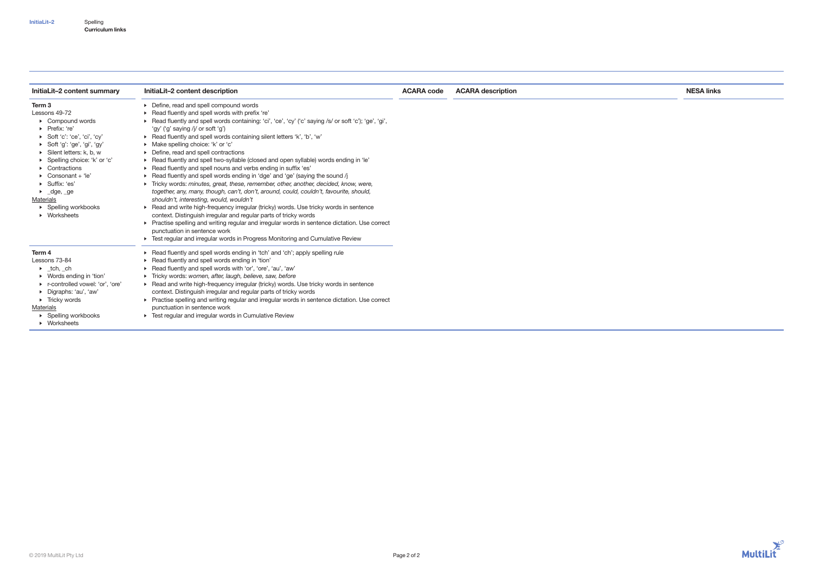| InitiaLit-2 content summary                 | InitiaLit-2 content description                                                                        | <b>ACARA code</b> | <b>ACARA description</b> | <b>NESA links</b> |
|---------------------------------------------|--------------------------------------------------------------------------------------------------------|-------------------|--------------------------|-------------------|
| Term <sub>3</sub>                           | ▶ Define, read and spell compound words                                                                |                   |                          |                   |
| Lessons 49-72                               | Read fluently and spell words with prefix 're'                                                         |                   |                          |                   |
| $\triangleright$ Compound words             | ► Read fluently and spell words containing: 'ci', 'ce', 'cy' ('c' saying /s/ or soft 'c'); 'ge', 'gi', |                   |                          |                   |
| Prefix: 're'                                | 'gy' ('g' saying /j/ or soft 'g')                                                                      |                   |                          |                   |
| $\triangleright$ Soft 'c': 'ce', 'ci', 'cy' | ▶ Read fluently and spell words containing silent letters 'k', 'b', 'w'                                |                   |                          |                   |
| $\triangleright$ Soft 'g': 'ge', 'gi', 'gy' | • Make spelling choice: 'k' or 'c'                                                                     |                   |                          |                   |
| $\triangleright$ Silent letters: k, b, w    | ▶ Define, read and spell contractions                                                                  |                   |                          |                   |
| ▶ Spelling choice: 'k' or 'c'               | • Read fluently and spell two-syllable (closed and open syllable) words ending in 'le'                 |                   |                          |                   |
| $\triangleright$ Contractions               | Fread fluently and spell nouns and verbs ending in suffix 'es'                                         |                   |                          |                   |
| Consonant + 'le'                            | ▶ Read fluently and spell words ending in 'dge' and 'ge' (saying the sound /j                          |                   |                          |                   |
| ▶ Suffix: 'es'                              | Tricky words: minutes, great, these, remember, other, another, decided, know, were,                    |                   |                          |                   |
| $\blacktriangleright$ _dge, _ge             | together, any, many, though, can't, don't, around, could, couldn't, favourite, should,                 |                   |                          |                   |
| Materials                                   | shouldn't, interesting, would, wouldn't                                                                |                   |                          |                   |
| $\triangleright$ Spelling workbooks         | ► Read and write high-frequency irregular (tricky) words. Use tricky words in sentence                 |                   |                          |                   |
| $\triangleright$ Worksheets                 | context. Distinguish irregular and regular parts of tricky words                                       |                   |                          |                   |
|                                             | Practise spelling and writing regular and irregular words in sentence dictation. Use correct           |                   |                          |                   |
|                                             | punctuation in sentence work                                                                           |                   |                          |                   |
|                                             | Fest regular and irregular words in Progress Monitoring and Cumulative Review                          |                   |                          |                   |
| Term 4                                      | Read fluently and spell words ending in 'tch' and 'ch'; apply spelling rule                            |                   |                          |                   |
| Lessons 73-84                               | Read fluently and spell words ending in 'tion'                                                         |                   |                          |                   |
| $\blacktriangleright$ _tch, _ch             | ▶ Read fluently and spell words with 'or', 'ore', 'au', 'aw'                                           |                   |                          |                   |
| ▶ Words ending in 'tion'                    | Tricky words: women, after, laugh, believe, saw, before                                                |                   |                          |                   |
| ▶ r-controlled vowel: 'or', 'ore'           | ► Read and write high-frequency irregular (tricky) words. Use tricky words in sentence                 |                   |                          |                   |
| • Digraphs: 'au', 'aw'                      | context. Distinguish irregular and regular parts of tricky words                                       |                   |                          |                   |
| $\triangleright$ Tricky words               | ▶ Practise spelling and writing regular and irregular words in sentence dictation. Use correct         |                   |                          |                   |
| Materials                                   | punctuation in sentence work                                                                           |                   |                          |                   |
| ▶ Spelling workbooks                        | • Test regular and irregular words in Cumulative Review                                                |                   |                          |                   |
| $\triangleright$ Worksheets                 |                                                                                                        |                   |                          |                   |

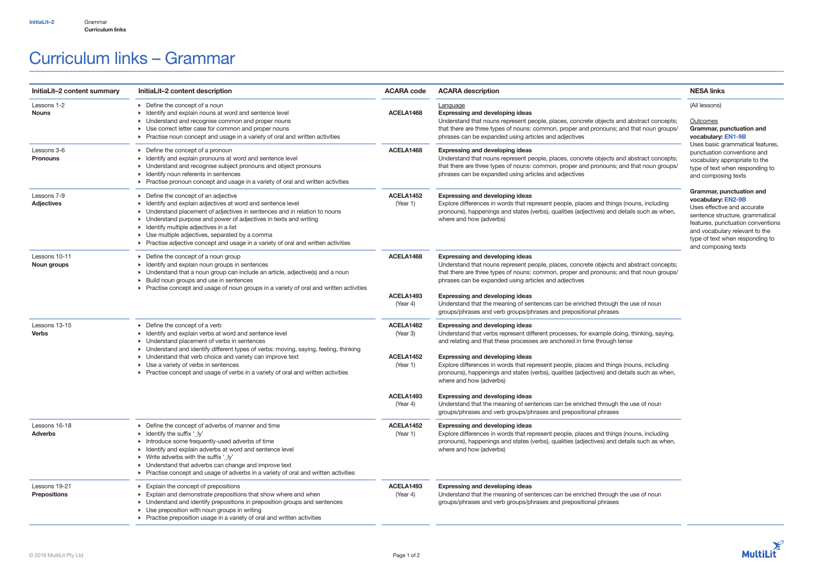# Curriculum links – Grammar

| InitiaLit-2 content summary          | InitiaLit-2 content description                                                                                                                                                                                                                                                                                                                                                                                                                              | <b>ACARA code</b>                                           | <b>ACARA description</b>                                                                                                                                                                                                                                                                                                                                                                                                                                                                                                | <b>NESA links</b>                                                                                                                                                                                                                                 |
|--------------------------------------|--------------------------------------------------------------------------------------------------------------------------------------------------------------------------------------------------------------------------------------------------------------------------------------------------------------------------------------------------------------------------------------------------------------------------------------------------------------|-------------------------------------------------------------|-------------------------------------------------------------------------------------------------------------------------------------------------------------------------------------------------------------------------------------------------------------------------------------------------------------------------------------------------------------------------------------------------------------------------------------------------------------------------------------------------------------------------|---------------------------------------------------------------------------------------------------------------------------------------------------------------------------------------------------------------------------------------------------|
| Lessons 1-2<br><b>Nouns</b>          | ▶ Define the concept of a noun<br>• Identify and explain nouns at word and sentence level<br>• Understand and recognise common and proper nouns<br>• Use correct letter case for common and proper nouns<br>▶ Practise noun concept and usage in a variety of oral and written activities                                                                                                                                                                    | ACELA1468                                                   | <b>Language</b><br><b>Expressing and developing ideas</b><br>Understand that nouns represent people, places, concrete objects and abstract concepts;<br>that there are three types of nouns: common, proper and pronouns; and that noun groups/<br>phrases can be expanded using articles and adjectives                                                                                                                                                                                                                | (All lessons)<br>Outcomes<br>Grammar, punctuation and<br>vocabulary: EN1-9B                                                                                                                                                                       |
| Lessons 3-6<br><b>Pronouns</b>       | $\triangleright$ Define the concept of a pronoun<br>• Identify and explain pronouns at word and sentence level<br>• Understand and recognise subject pronouns and object pronouns<br>• Identify noun referents in sentences<br>▶ Practise pronoun concept and usage in a variety of oral and written activities                                                                                                                                              | ACELA1468                                                   | <b>Expressing and developing ideas</b><br>Understand that nouns represent people, places, concrete objects and abstract concepts;<br>that there are three types of nouns: common, proper and pronouns; and that noun groups/<br>phrases can be expanded using articles and adjectives                                                                                                                                                                                                                                   | Uses basic grammatical features,<br>punctuation conventions and<br>vocabulary appropriate to the<br>type of text when responding to<br>and composing texts                                                                                        |
| Lessons 7-9<br><b>Adjectives</b>     | ▶ Define the concept of an adjective<br>• Identify and explain adjectives at word and sentence level<br>• Understand placement of adjectives in sentences and in relation to nouns<br>• Understand purpose and power of adjectives in texts and writing<br>$\triangleright$ Identify multiple adjectives in a list<br>• Use multiple adjectives, separated by a comma<br>▶ Practise adjective concept and usage in a variety of oral and written activities  | ACELA1452<br>(Year 1)                                       | <b>Expressing and developing ideas</b><br>Explore differences in words that represent people, places and things (nouns, including<br>pronouns), happenings and states (verbs), qualities (adjectives) and details such as when,<br>where and how (adverbs)                                                                                                                                                                                                                                                              | Grammar, punctuation and<br>vocabulary: EN2-9B<br>Uses effective and accurate<br>sentence structure, grammatical<br>features, punctuation conventions<br>and vocabulary relevant to the<br>type of text when responding to<br>and composing texts |
| Lessons 10-11<br><b>Noun groups</b>  | $\triangleright$ Define the concept of a noun group<br>• Identify and explain noun groups in sentences<br>• Understand that a noun group can include an article, adjective(s) and a noun<br>> Build noun groups and use in sentences<br>▶ Practise concept and usage of noun groups in a variety of oral and written activities                                                                                                                              | ACELA1468<br>ACELA1493<br>(Year 4)                          | <b>Expressing and developing ideas</b><br>Understand that nouns represent people, places, concrete objects and abstract concepts;<br>that there are three types of nouns: common, proper and pronouns; and that noun groups/<br>phrases can be expanded using articles and adjectives<br><b>Expressing and developing ideas</b><br>Understand that the meaning of sentences can be enriched through the use of noun<br>groups/phrases and verb groups/phrases and prepositional phrases                                 |                                                                                                                                                                                                                                                   |
| Lessons 13-15<br><b>Verbs</b>        | $\triangleright$ Define the concept of a verb<br>• Identify and explain verbs at word and sentence level<br>• Understand placement of verbs in sentences<br>> Understand and identify different types of verbs: moving, saying, feeling, thinking<br>• Understand that verb choice and variety can improve text<br>$\triangleright$ Use a variety of verbs in sentences<br>▶ Practise concept and usage of verbs in a variety of oral and written activities | ACELA1482<br>(Year 3)<br>ACELA1452<br>(Year 1)<br>ACELA1493 | <b>Expressing and developing ideas</b><br>Understand that verbs represent different processes, for example doing, thinking, saying,<br>and relating and that these processes are anchored in time through tense<br><b>Expressing and developing ideas</b><br>Explore differences in words that represent people, places and things (nouns, including<br>pronouns), happenings and states (verbs), qualities (adjectives) and details such as when,<br>where and how (adverbs)<br><b>Expressing and developing ideas</b> |                                                                                                                                                                                                                                                   |
| Lessons 16-18<br><b>Adverbs</b>      | ▶ Define the concept of adverbs of manner and time<br>$\triangleright$ Identify the suffix '_ly'<br>Introduce some frequently-used adverbs of time<br>• Identify and explain adverbs at word and sentence level<br>• Write adverbs with the suffix '_ly'<br>• Understand that adverbs can change and improve text<br>▶ Practise concept and usage of adverbs in a variety of oral and written activities                                                     | (Year 4)<br>ACELA1452<br>(Year 1)                           | Understand that the meaning of sentences can be enriched through the use of noun<br>groups/phrases and verb groups/phrases and prepositional phrases<br><b>Expressing and developing ideas</b><br>Explore differences in words that represent people, places and things (nouns, including<br>pronouns), happenings and states (verbs), qualities (adjectives) and details such as when,<br>where and how (adverbs)                                                                                                      |                                                                                                                                                                                                                                                   |
| Lessons 19-21<br><b>Prepositions</b> | $\triangleright$ Explain the concept of prepositions<br>Explain and demonstrate prepositions that show where and when<br>• Understand and identify prepositions in preposition groups and sentences<br>• Use preposition with noun groups in writing<br>▶ Practise preposition usage in a variety of oral and written activities                                                                                                                             | ACELA1493<br>(Year 4)                                       | <b>Expressing and developing ideas</b><br>Understand that the meaning of sentences can be enriched through the use of noun<br>groups/phrases and verb groups/phrases and prepositional phrases                                                                                                                                                                                                                                                                                                                          |                                                                                                                                                                                                                                                   |

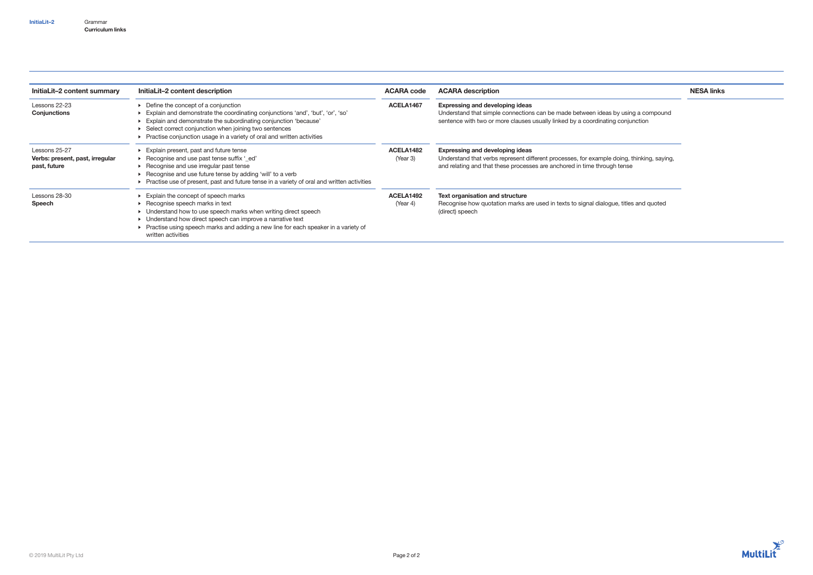## Grammar Curriculum links InitiaLit–2

| InitiaLit-2 content summary                                      | InitiaLit-2 content description                                                                                                                                                                                                                                                                                             | <b>ACARA code</b>     | <b>ACARA description</b>                                                                                                                                                                                        | <b>NESA links</b> |
|------------------------------------------------------------------|-----------------------------------------------------------------------------------------------------------------------------------------------------------------------------------------------------------------------------------------------------------------------------------------------------------------------------|-----------------------|-----------------------------------------------------------------------------------------------------------------------------------------------------------------------------------------------------------------|-------------------|
| Lessons 22-23<br>Conjunctions                                    | Define the concept of a conjunction<br>Explain and demonstrate the coordinating conjunctions 'and', 'but', 'or', 'so'<br>Explain and demonstrate the subordinating conjunction 'because'<br>Select correct conjunction when joining two sentences<br>Practise conjunction usage in a variety of oral and written activities | ACELA1467             | <b>Expressing and developing ideas</b><br>Understand that simple connections can be made between ideas by using a compound<br>sentence with two or more clauses usually linked by a coordinating conjunction    |                   |
| Lessons 25-27<br>Verbs: present, past, irregular<br>past, future | Explain present, past and future tense<br>► Recognise and use past tense suffix '_ed'<br>Recognise and use irregular past tense<br>Recognise and use future tense by adding 'will' to a verb<br>Practise use of present, past and future tense in a variety of oral and written activities                                  | ACELA1482<br>(Year 3) | <b>Expressing and developing ideas</b><br>Understand that verbs represent different processes, for example doing, thinking, saying,<br>and relating and that these processes are anchored in time through tense |                   |
| Lessons 28-30<br>Speech                                          | Explain the concept of speech marks<br>Recognise speech marks in text<br>• Understand how to use speech marks when writing direct speech<br>• Understand how direct speech can improve a narrative text<br>▶ Practise using speech marks and adding a new line for each speaker in a variety of<br>written activities       | ACELA1492<br>(Year 4) | <b>Text organisation and structure</b><br>Recognise how quotation marks are used in texts to signal dialogue, titles and quoted<br>(direct) speech                                                              |                   |

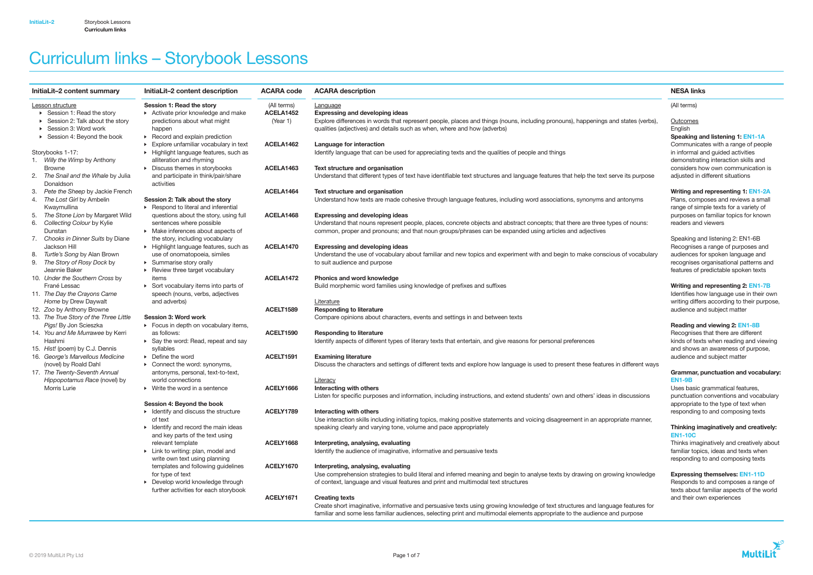| InitiaLit-2 content summary            | InitiaLit-2 content description                     | <b>ACARA code</b> | <b>ACARA description</b>                                                                                                             | <b>NESA links</b>                           |
|----------------------------------------|-----------------------------------------------------|-------------------|--------------------------------------------------------------------------------------------------------------------------------------|---------------------------------------------|
| Lesson structure                       | Session 1: Read the story                           | (All terms)       | Language                                                                                                                             | (All terms)                                 |
| ▶ Session 1: Read the story            | $\triangleright$ Activate prior knowledge and make  | ACELA1452         | <b>Expressing and developing ideas</b>                                                                                               |                                             |
| Session 2: Talk about the story        | predictions about what might                        | (Year 1)          | Explore differences in words that represent people, places and things (nouns, including pronouns), happenings and states (verbs),    | Outcomes                                    |
| ▶ Session 3: Word work                 | happen                                              |                   | qualities (adjectives) and details such as when, where and how (adverbs)                                                             | English                                     |
| ▶ Session 4: Beyond the book           | $\triangleright$ Record and explain prediction      |                   |                                                                                                                                      | Speaking and listening 1: EN1-1A            |
|                                        | Explore unfamiliar vocabulary in text               | ACELA1462         | Language for interaction                                                                                                             | Communicates with a range of people         |
| Storybooks 1-17:                       | • Highlight language features, such as              |                   | Identify language that can be used for appreciating texts and the qualities of people and things                                     | in informal and guided activities           |
| 1. Willy the Wimp by Anthony           | alliteration and rhyming                            |                   |                                                                                                                                      | demonstrating interaction skills and        |
| <b>Browne</b>                          | • Discuss themes in storybooks                      | ACELA1463         | Text structure and organisation                                                                                                      | considers how own communication is          |
| 2. The Snail and the Whale by Julia    | and participate in think/pair/share                 |                   | Understand that different types of text have identifiable text structures and language features that help the text serve its purpose | adjusted in different situations            |
| Donaldson                              | activities                                          |                   |                                                                                                                                      |                                             |
| Pete the Sheep by Jackie French<br>З.  |                                                     | ACELA1464         | Text structure and organisation                                                                                                      | Writing and representing 1: EN1-2A          |
| The Lost Girl by Ambelin               | Session 2: Talk about the story                     |                   | Understand how texts are made cohesive through language features, including word associations, synonyms and antonyms                 | Plans, composes and reviews a small         |
| Kwaymullina                            | Respond to literal and inferential                  |                   |                                                                                                                                      | range of simple texts for a variety of      |
| The Stone Lion by Margaret Wild<br>5.  | questions about the story, using full               | ACELA1468         | <b>Expressing and developing ideas</b>                                                                                               | purposes on familiar topics for known       |
| 6. Collecting Colour by Kylie          | sentences where possible                            |                   | Understand that nouns represent people, places, concrete objects and abstract concepts; that there are three types of nouns:         | readers and viewers                         |
| Dunstan                                | • Make inferences about aspects of                  |                   | common, proper and pronouns; and that noun groups/phrases can be expanded using articles and adjectives                              |                                             |
| Chooks in Dinner Suits by Diane<br>7.  | the story, including vocabulary                     |                   |                                                                                                                                      | Speaking and listening 2: EN1-6B            |
| Jackson Hill                           | Highlight language features, such as                | ACELA1470         | <b>Expressing and developing ideas</b>                                                                                               | Recognises a range of purposes and          |
| 8. Turtle's Song by Alan Brown         | use of onomatopoeia, similes                        |                   | Understand the use of vocabulary about familiar and new topics and experiment with and begin to make conscious of vocabulary         | audiences for spoken language and           |
| 9. The Story of Rosy Dock by           | • Summarise story orally                            |                   | to suit audience and purpose                                                                                                         | recognises organisational patterns and      |
| Jeannie Baker                          | ▶ Review three target vocabulary                    |                   |                                                                                                                                      | features of predictable spoken texts        |
| 10. Under the Southern Cross by        | items                                               | ACELA1472         | <b>Phonics and word knowledge</b>                                                                                                    |                                             |
| Frané Lessac                           | Sort vocabulary items into parts of                 |                   | Build morphemic word families using knowledge of prefixes and suffixes                                                               | Writing and representing 2: EN1-7B          |
| 11. The Day the Crayons Came           | speech (nouns, verbs, adjectives                    |                   |                                                                                                                                      | Identifies how language use in their own    |
| Home by Drew Daywalt                   | and adverbs)                                        |                   | Literature                                                                                                                           | writing differs according to their purpose, |
| 12. Zoo by Anthony Browne              |                                                     | ACELT1589         | <b>Responding to literature</b>                                                                                                      | audience and subject matter                 |
| 13. The True Story of the Three Little | Session 3: Word work                                |                   | Compare opinions about characters, events and settings in and between texts                                                          |                                             |
| Pigs! By Jon Scieszka                  | > Focus in depth on vocabulary items,               |                   |                                                                                                                                      | Reading and viewing 2: EN1-8B               |
| 14. You and Me Murrawee by Kerri       | as follows:                                         | ACELT1590         | <b>Responding to literature</b>                                                                                                      | Recognises that there are different         |
| Hashm                                  | Say the word: Read, repeat and say                  |                   | Identify aspects of different types of literary texts that entertain, and give reasons for personal preferences                      | kinds of texts when reading and viewing     |
| 15. Hist! (poem) by C.J. Dennis        | syllables                                           |                   |                                                                                                                                      | and shows an awareness of purpose,          |
| 16. George's Marvellous Medicine       | $\triangleright$ Define the word                    | ACELT1591         | <b>Examining literature</b>                                                                                                          | audience and subject matter                 |
| (novel) by Roald Dahl                  | ▶ Connect the word: synonyms,                       |                   | Discuss the characters and settings of different texts and explore how language is used to present these features in different ways  |                                             |
| 17. The Twenty-Seventh Annual          | antonyms, personal, text-to-text,                   |                   |                                                                                                                                      | Grammar, punctuation and vocabulary:        |
| Hippopotamus Race (novel) by           | world connections                                   |                   | Literacy                                                                                                                             | <b>EN1-9B</b>                               |
| Morris Lurie                           | $\triangleright$ Write the word in a sentence       | ACELY1666         | Interacting with others                                                                                                              | Uses basic grammatical features,            |
|                                        |                                                     |                   | Listen for specific purposes and information, including instructions, and extend students' own and others' ideas in discussions      | punctuation conventions and vocabulary      |
|                                        | Session 4: Beyond the book                          |                   |                                                                                                                                      | appropriate to the type of text when        |
|                                        | $\triangleright$ Identify and discuss the structure | ACELY1789         | Interacting with others                                                                                                              | responding to and composing texts           |
|                                        | of text                                             |                   | Use interaction skills including initiating topics, making positive statements and voicing disagreement in an appropriate manner,    |                                             |
|                                        | $\triangleright$ Identify and record the main ideas |                   | speaking clearly and varying tone, volume and pace appropriately                                                                     | Thinking imaginatively and creatively:      |
|                                        | and key parts of the text using                     |                   |                                                                                                                                      | <b>EN1-10C</b>                              |
|                                        | relevant template                                   | <b>ACELY1668</b>  | Interpreting, analysing, evaluating                                                                                                  | Thinks imaginatively and creatively about   |
|                                        | $\triangleright$ Link to writing: plan, model and   |                   | Identify the audience of imaginative, informative and persuasive texts                                                               | familiar topics, ideas and texts when       |
|                                        | write own text using planning                       |                   |                                                                                                                                      | responding to and composing texts           |
|                                        | templates and following guidelines                  | ACELY1670         | Interpreting, analysing, evaluating                                                                                                  |                                             |
|                                        | for type of text                                    |                   | Use comprehension strategies to build literal and inferred meaning and begin to analyse texts by drawing on growing knowledge        | <b>Expressing themselves: EN1-11D</b>       |
|                                        | ▶ Develop world knowledge through                   |                   | of context, language and visual features and print and multimodal text structures                                                    | Responds to and composes a range of         |
|                                        | further activities for each storybook               |                   |                                                                                                                                      | texts about familiar aspects of the world   |
|                                        |                                                     | ACELY1671         | <b>Creating texts</b>                                                                                                                | and their own experiences                   |
|                                        |                                                     |                   | Create short imaginative, informative and persuasive texts using growing knowledge of text structures and language features for      |                                             |
|                                        |                                                     |                   | familiar and some less familiar audiences, selecting print and multimodal elements appropriate to the audience and purpose           |                                             |



# Curriculum links – Storybook Lessons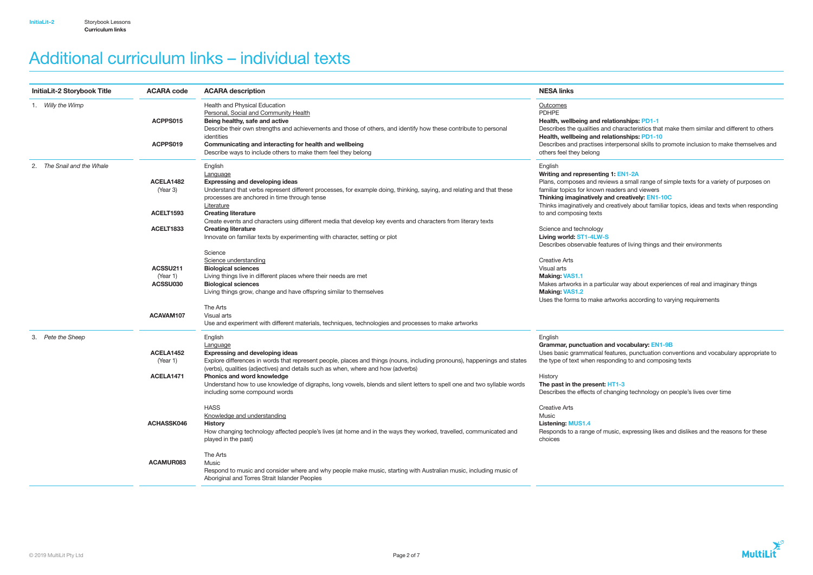| <b>InitiaLit-2 Storybook Title</b><br><b>ACARA code</b> |                                    | <b>ACARA description</b>                                                                                                                                                                                                                                                                                                                                                                                                                                                 | <b>NESA links</b>                                                                                                                                                             |  |
|---------------------------------------------------------|------------------------------------|--------------------------------------------------------------------------------------------------------------------------------------------------------------------------------------------------------------------------------------------------------------------------------------------------------------------------------------------------------------------------------------------------------------------------------------------------------------------------|-------------------------------------------------------------------------------------------------------------------------------------------------------------------------------|--|
| 1. Willy the Wimp                                       | ACPPS015                           | Health and Physical Education<br>Personal, Social and Community Health<br>Being healthy, safe and active<br>Describe their own strengths and achievements and those of others, and identify how these contribute to personal                                                                                                                                                                                                                                             | Outcomes<br><b>PDHPE</b><br>Health, wellbeing and relat<br>Describes the qualities and o                                                                                      |  |
|                                                         | ACPPS019                           | identities<br>Communicating and interacting for health and wellbeing<br>Describe ways to include others to make them feel they belong                                                                                                                                                                                                                                                                                                                                    | Health, wellbeing and relat<br>Describes and practises inte<br>others feel they belong                                                                                        |  |
| The Snail and the Whale                                 | ACELA1482<br>(Year 3)              | English<br>Language<br><b>Expressing and developing ideas</b><br>Understand that verbs represent different processes, for example doing, thinking, saying, and relating and that these<br>processes are anchored in time through tense                                                                                                                                                                                                                                   | English<br>Writing and representing 1:<br>Plans, composes and review<br>familiar topics for known rea<br>Thinking imaginatively and                                           |  |
|                                                         | ACELT1593<br>ACELT1833             | Literature<br><b>Creating literature</b><br>Create events and characters using different media that develop key events and characters from literary texts<br><b>Creating literature</b><br>Innovate on familiar texts by experimenting with character, setting or plot                                                                                                                                                                                                   | Thinks imaginatively and cre<br>to and composing texts<br>Science and technology<br>Living world: ST1-4LW-S<br>Describes observable feature                                   |  |
|                                                         | ACSSU211<br>(Year 1)<br>ACSSU030   | Science<br>Science understanding<br><b>Biological sciences</b><br>Living things live in different places where their needs are met<br><b>Biological sciences</b><br>Living things grow, change and have offspring similar to themselves                                                                                                                                                                                                                                  | <b>Creative Arts</b><br>Visual arts<br><b>Making: VAS1.1</b><br>Makes artworks in a particula<br><b>Making: VAS1.2</b><br>Uses the forms to make artw                         |  |
|                                                         | ACAVAM107                          | The Arts<br>Visual arts<br>Use and experiment with different materials, techniques, technologies and processes to make artworks                                                                                                                                                                                                                                                                                                                                          |                                                                                                                                                                               |  |
| Pete the Sheep<br>3.                                    | ACELA1452<br>(Year 1)<br>ACELA1471 | English<br>Language<br><b>Expressing and developing ideas</b><br>Explore differences in words that represent people, places and things (nouns, including pronouns), happenings and states<br>(verbs), qualities (adjectives) and details such as when, where and how (adverbs)<br>Phonics and word knowledge<br>Understand how to use knowledge of digraphs, long vowels, blends and silent letters to spell one and two syllable words<br>including some compound words | English<br>Grammar, punctuation and<br>Uses basic grammatical feat<br>the type of text when respon<br>History<br>The past in the present: HT<br>Describes the effects of char |  |
|                                                         | ACHASSK046                         | <b>HASS</b><br>Knowledge and understanding<br><b>History</b><br>How changing technology affected people's lives (at home and in the ways they worked, travelled, communicated and<br>played in the past)                                                                                                                                                                                                                                                                 | <b>Creative Arts</b><br>Music<br><b>Listening: MUS1.4</b><br>Responds to a range of mus<br>choices                                                                            |  |
|                                                         | ACAMUR083                          | The Arts<br>Music<br>Respond to music and consider where and why people make music, starting with Australian music, including music of<br>Aboriginal and Torres Strait Islander Peoples                                                                                                                                                                                                                                                                                  |                                                                                                                                                                               |  |

tionships: PD1-1 characteristics that make them similar and different to others tionships: PD1-10 erpersonal skills to promote inclusion to make themselves and

## : EN1-2A

ws a small range of simple texts for a variety of purposes on aders and viewers I creatively: EN1-10C

eatively about familiar topics, ideas and texts when responding

es of living things and their environments

lar way about experiences of real and imaginary things

vorks according to varying requirements

## d vocabulary: EN1-9B

tures, punctuation conventions and vocabulary appropriate to ding to and composing texts

## $r_{1-3}$

nging technology on people's lives over time

sic, expressing likes and dislikes and the reasons for these



# Additional curriculum links – individual texts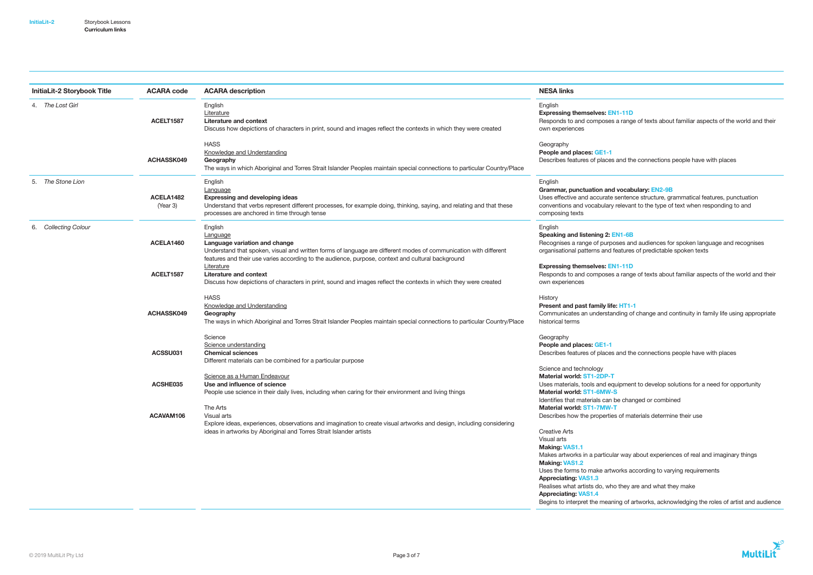| <b>InitiaLit-2 Storybook Title</b><br><b>ACARA code</b> |                       | <b>ACARA</b> description                                                                                                                                                                                                                                                      | <b>NESA links</b>                                                                                                                                                                   |
|---------------------------------------------------------|-----------------------|-------------------------------------------------------------------------------------------------------------------------------------------------------------------------------------------------------------------------------------------------------------------------------|-------------------------------------------------------------------------------------------------------------------------------------------------------------------------------------|
| 4. The Lost Girl                                        | ACELT1587             | English<br>Literature<br><b>Literature and context</b><br>Discuss how depictions of characters in print, sound and images reflect the contexts in which they were created                                                                                                     | English<br><b>Expressing themselves: EN</b><br>Responds to and composes<br>own experiences                                                                                          |
|                                                         | ACHASSK049            | <b>HASS</b><br>Knowledge and Understanding<br>Geography<br>The ways in which Aboriginal and Torres Strait Islander Peoples maintain special connections to particular Country/Place                                                                                           | Geography<br>People and places: GE1-1<br>Describes features of places                                                                                                               |
| The Stone Lion<br>5.                                    | ACELA1482<br>(Year 3) | English<br>Language<br><b>Expressing and developing ideas</b><br>Understand that verbs represent different processes, for example doing, thinking, saying, and relating and that these<br>processes are anchored in time through tense                                        | English<br>Grammar, punctuation and<br>Uses effective and accurate s<br>conventions and vocabulary r<br>composing texts                                                             |
| <b>Collecting Colour</b><br>6.                          | ACELA1460             | English<br>Language<br>Language variation and change<br>Understand that spoken, visual and written forms of language are different modes of communication with different<br>features and their use varies according to the audience, purpose, context and cultural background | English<br>Speaking and listening 2: El<br>Recognises a range of purpo:<br>organisational patterns and fe                                                                           |
|                                                         | ACELT1587             | Literature<br><b>Literature and context</b><br>Discuss how depictions of characters in print, sound and images reflect the contexts in which they were created                                                                                                                | <b>Expressing themselves: EN</b><br>Responds to and composes<br>own experiences                                                                                                     |
|                                                         | ACHASSK049            | <b>HASS</b><br>Knowledge and Understanding<br>Geography<br>The ways in which Aboriginal and Torres Strait Islander Peoples maintain special connections to particular Country/Place                                                                                           | History<br>Present and past family life:<br>Communicates an understan<br>historical terms                                                                                           |
|                                                         | ACSSU031              | Science<br>Science understanding<br><b>Chemical sciences</b><br>Different materials can be combined for a particular purpose                                                                                                                                                  | Geography<br>People and places: GE1-1<br>Describes features of places                                                                                                               |
|                                                         | ACSHE035              | Science as a Human Endeavour<br>Use and influence of science<br>People use science in their daily lives, including when caring for their environment and living things                                                                                                        | Science and technology<br>Material world: ST1-2DP-T<br>Uses materials, tools and equ<br>Material world: ST1-6MW-S<br>Identifies that materials can b                                |
|                                                         | ACAVAM106             | The Arts<br>Visual arts<br>Explore ideas, experiences, observations and imagination to create visual artworks and design, including considering<br>ideas in artworks by Aboriginal and Torres Strait Islander artists                                                         | Material world: ST1-7MW-T<br>Describes how the properties<br><b>Creative Arts</b><br>Visual arts<br><b>Making: VAS1.1</b><br>Makes artworks in a particula<br><b>Making: VAS1.2</b> |

## $VI-11D$

a range of texts about familiar aspects of the world and their

and the connections people have with places

## d vocabulary: EN2-9B

sentence structure, grammatical features, punctuation relevant to the type of text when responding to and

## $EN1-6B$

oses and audiences for spoken language and recognises features of predictable spoken texts

## $VI-11D$

a range of texts about familiar aspects of the world and their

## e: HT1-1

nding of change and continuity in family life using appropriate

and the connections people have with places

quipment to develop solutions for a need for opportunity

be changed or combined

Uses the forms to make artworks according to varying requirements

Appreciating: VAS1.3

Realises what artists do, who they are and what they make

Appreciating: VAS1.4

s of materials determine their use

lar way about experiences of real and imaginary things

Begins to interpret the meaning of artworks, acknowledging the roles of artist and audience

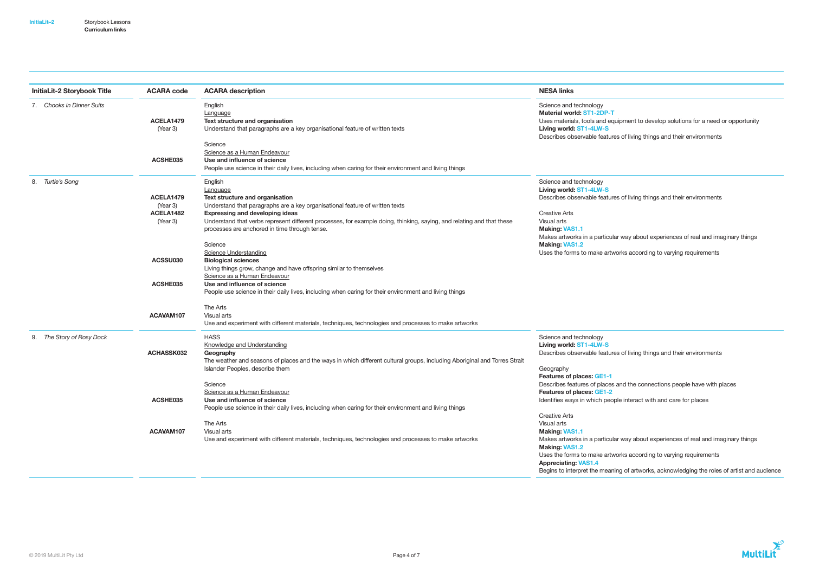| <b>InitiaLit-2 Storybook Title</b><br><b>ACARA code</b> |                                                | <b>ACARA description</b>                                                                                                                                                                                                                                                                                                                                   | <b>NESA links</b>                                                                                                                                                                  |  |
|---------------------------------------------------------|------------------------------------------------|------------------------------------------------------------------------------------------------------------------------------------------------------------------------------------------------------------------------------------------------------------------------------------------------------------------------------------------------------------|------------------------------------------------------------------------------------------------------------------------------------------------------------------------------------|--|
| 7. Chooks in Dinner Suits                               | ACELA1479<br>(Year 3)                          | English<br>Language<br>Text structure and organisation<br>Understand that paragraphs are a key organisational feature of written texts                                                                                                                                                                                                                     | Science and technology<br>Material world: ST1-2DP-T<br>Uses materials, tools and equ<br>Living world: ST1-4LW-S<br>Describes observable feature                                    |  |
|                                                         | ACSHE035                                       | Science<br>Science as a Human Endeavour<br>Use and influence of science<br>People use science in their daily lives, including when caring for their environment and living things                                                                                                                                                                          |                                                                                                                                                                                    |  |
| Turtle's Song<br>8.                                     | ACELA1479<br>(Year 3)<br>ACELA1482<br>(Year 3) | English<br>Language<br>Text structure and organisation<br>Understand that paragraphs are a key organisational feature of written texts<br><b>Expressing and developing ideas</b><br>Understand that verbs represent different processes, for example doing, thinking, saying, and relating and that these<br>processes are anchored in time through tense. | Science and technology<br>Living world: ST1-4LW-S<br>Describes observable feature<br><b>Creative Arts</b><br>Visual arts<br><b>Making: VAS1.1</b><br>Makes artworks in a particula |  |
|                                                         | ACSSU030<br>ACSHE035                           | Science<br><b>Science Understanding</b><br><b>Biological sciences</b><br>Living things grow, change and have offspring similar to themselves<br>Science as a Human Endeavour<br>Use and influence of science<br>People use science in their daily lives, including when caring for their environment and living things                                     | <b>Making: VAS1.2</b><br>Uses the forms to make artw                                                                                                                               |  |
|                                                         | ACAVAM107                                      | The Arts<br>Visual arts<br>Use and experiment with different materials, techniques, technologies and processes to make artworks                                                                                                                                                                                                                            |                                                                                                                                                                                    |  |
| The Story of Rosy Dock<br>9.                            | <b>ACHASSK032</b>                              | <b>HASS</b><br>Knowledge and Understanding<br>Geography<br>The weather and seasons of places and the ways in which different cultural groups, including Aboriginal and Torres Strait<br>Islander Peoples, describe them                                                                                                                                    | Science and technology<br>Living world: ST1-4LW-S<br>Describes observable feature<br>Geography                                                                                     |  |
|                                                         | ACSHE035                                       | Science<br>Science as a Human Endeavour<br>Use and influence of science<br>People use science in their daily lives, including when caring for their environment and living things                                                                                                                                                                          | Features of places: GE1-1<br>Describes features of places<br>Features of places: GE1-2<br>Identifies ways in which peop                                                            |  |
|                                                         | ACAVAM107                                      | The Arts<br>Visual arts<br>Use and experiment with different materials, techniques, technologies and processes to make artworks                                                                                                                                                                                                                            | <b>Creative Arts</b><br>Visual arts<br><b>Making: VAS1.1</b><br>Makes artworks in a particula<br><b>Making: VAS1.2</b><br>Uses the forms to make artw                              |  |

lar way about experiences of real and imaginary things vorks according to varying requirements Begins to interpret the meaning of artworks, acknowledging the roles of artist and audience

quipment to develop solutions for a need or opportunity es of living things and their environments



es of living things and their environments

lar way about experiences of real and imaginary things vorks according to varying requirements

es of living things and their environments

and the connections people have with places

ple interact with and care for places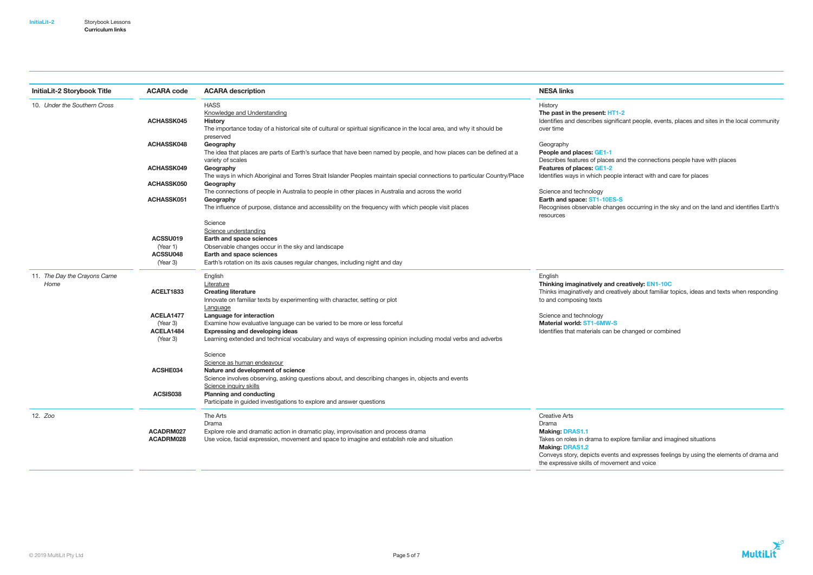| <b>InitiaLit-2 Storybook Title</b> | <b>ACARA code</b><br><b>ACARA description</b> |                                                                                                                                           | <b>NESA links</b>                                        |  |
|------------------------------------|-----------------------------------------------|-------------------------------------------------------------------------------------------------------------------------------------------|----------------------------------------------------------|--|
| 10. Under the Southern Cross       |                                               | <b>HASS</b>                                                                                                                               | History                                                  |  |
|                                    |                                               | <b>Knowledge and Understanding</b>                                                                                                        | The past in the present: HT                              |  |
|                                    | <b>ACHASSK045</b>                             | <b>History</b>                                                                                                                            | Identifies and describes signi                           |  |
|                                    |                                               | The importance today of a historical site of cultural or spiritual significance in the local area, and why it should be<br>preserved      | over time                                                |  |
|                                    | ACHASSK048                                    | Geography                                                                                                                                 | Geography                                                |  |
|                                    |                                               | The idea that places are parts of Earth's surface that have been named by people, and how places can be defined at a<br>variety of scales | People and places: GE1-1<br>Describes features of places |  |
|                                    | ACHASSK049                                    | Geography                                                                                                                                 | <b>Features of places: GE1-2</b>                         |  |
|                                    |                                               | The ways in which Aboriginal and Torres Strait Islander Peoples maintain special connections to particular Country/Place                  | Identifies ways in which peop                            |  |
|                                    | ACHASSK050                                    | Geography                                                                                                                                 |                                                          |  |
|                                    |                                               | The connections of people in Australia to people in other places in Australia and across the world                                        | Science and technology                                   |  |
|                                    | ACHASSK051                                    | Geography                                                                                                                                 | Earth and space: ST1-10ES                                |  |
|                                    |                                               | The influence of purpose, distance and accessibility on the frequency with which people visit places                                      | Recognises observable chang<br>resources                 |  |
|                                    |                                               | Science                                                                                                                                   |                                                          |  |
|                                    |                                               | Science understanding                                                                                                                     |                                                          |  |
|                                    | ACSSU019                                      | Earth and space sciences                                                                                                                  |                                                          |  |
|                                    | (Year 1)                                      | Observable changes occur in the sky and landscape                                                                                         |                                                          |  |
|                                    | ACSSU048                                      | Earth and space sciences                                                                                                                  |                                                          |  |
|                                    | (Year 3)                                      | Earth's rotation on its axis causes regular changes, including night and day                                                              |                                                          |  |
| 11. The Day the Crayons Came       |                                               | English                                                                                                                                   | English                                                  |  |
| Home                               |                                               | Literature                                                                                                                                | Thinking imaginatively and                               |  |
|                                    | ACELT1833                                     | <b>Creating literature</b>                                                                                                                | Thinks imaginatively and crea                            |  |
|                                    |                                               | Innovate on familiar texts by experimenting with character, setting or plot                                                               | to and composing texts                                   |  |
|                                    |                                               | Language                                                                                                                                  |                                                          |  |
|                                    | ACELA1477                                     | Language for interaction                                                                                                                  | Science and technology                                   |  |
|                                    | (Year 3)                                      | Examine how evaluative language can be varied to be more or less forceful                                                                 | Material world: ST1-6MW-S                                |  |
|                                    | ACELA1484                                     | <b>Expressing and developing ideas</b>                                                                                                    | Identifies that materials can b                          |  |
|                                    | (Year 3)                                      | Learning extended and technical vocabulary and ways of expressing opinion including modal verbs and adverbs                               |                                                          |  |
|                                    |                                               | Science                                                                                                                                   |                                                          |  |
|                                    |                                               | Science as human endeavour                                                                                                                |                                                          |  |
|                                    | ACSHE034                                      | Nature and development of science                                                                                                         |                                                          |  |
|                                    |                                               | Science involves observing, asking questions about, and describing changes in, objects and events                                         |                                                          |  |
|                                    |                                               | Science inquiry skills                                                                                                                    |                                                          |  |
|                                    | ACSIS038                                      | <b>Planning and conducting</b>                                                                                                            |                                                          |  |
|                                    |                                               | Participate in guided investigations to explore and answer questions                                                                      |                                                          |  |
| 12. Zoo                            |                                               | The Arts                                                                                                                                  | <b>Creative Arts</b>                                     |  |
|                                    |                                               | Drama                                                                                                                                     | Drama                                                    |  |
|                                    | ACADRM027                                     | Explore role and dramatic action in dramatic play, improvisation and process drama                                                        | <b>Making: DRAS1.1</b>                                   |  |
|                                    | ACADRM028                                     | Use voice, facial expression, movement and space to imagine and establish role and situation                                              | Takes on roles in drama to ex                            |  |
|                                    |                                               |                                                                                                                                           | <b>Making: DRAS1.2</b><br>Conveys story, depicts events  |  |

# $T1-2$

hificant people, events, places and sites in the local community

and the connections people have with places

ople interact with and care for places

## $ES-S$

anges occurring in the sky and on the land and identifies Earth's

I creatively: EN1-10C eatively about familiar topics, ideas and texts when responding

I be changed or combined

explore familiar and imagined situations

nts and expresses feelings by using the elements of drama and the expressive skills of movement and voice

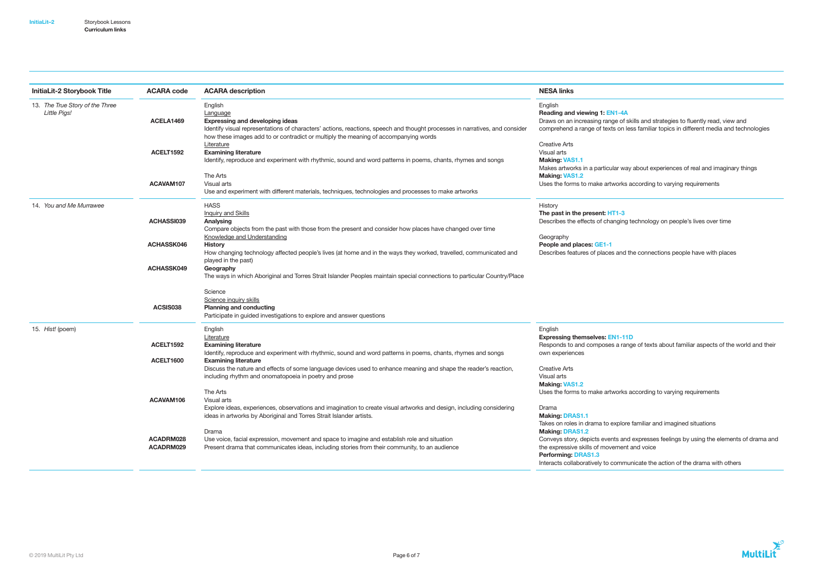| InitiaLit-2 Storybook Title     | <b>ACARA code</b><br><b>ACARA</b> description |                                                                                                                                          | <b>NESA links</b>                |  |
|---------------------------------|-----------------------------------------------|------------------------------------------------------------------------------------------------------------------------------------------|----------------------------------|--|
| 13. The True Story of the Three |                                               | English                                                                                                                                  | English                          |  |
| Little Pigs!                    |                                               | Language                                                                                                                                 | <b>Reading and viewing 1: EN</b> |  |
|                                 | ACELA1469                                     | <b>Expressing and developing ideas</b>                                                                                                   | Draws on an increasing rang      |  |
|                                 |                                               | Identify visual representations of characters' actions, reactions, speech and thought processes in narratives, and consider              | comprehend a range of texts      |  |
|                                 |                                               | how these images add to or contradict or multiply the meaning of accompanying words                                                      |                                  |  |
|                                 |                                               | Literature                                                                                                                               | <b>Creative Arts</b>             |  |
|                                 | ACELT1592                                     | <b>Examining literature</b>                                                                                                              | Visual arts                      |  |
|                                 |                                               | Identify, reproduce and experiment with rhythmic, sound and word patterns in poems, chants, rhymes and songs                             | <b>Making: VAS1.1</b>            |  |
|                                 |                                               |                                                                                                                                          | Makes artworks in a particul     |  |
|                                 |                                               | The Arts                                                                                                                                 | <b>Making: VAS1.2</b>            |  |
|                                 | ACAVAM107                                     | Visual arts                                                                                                                              | Uses the forms to make artv      |  |
|                                 |                                               | Use and experiment with different materials, techniques, technologies and processes to make artworks                                     |                                  |  |
| 14. You and Me Murrawee         |                                               | <b>HASS</b>                                                                                                                              | History                          |  |
|                                 |                                               | <b>Inquiry and Skills</b>                                                                                                                | The past in the present: HT      |  |
|                                 | ACHASSI039                                    | Analysing                                                                                                                                | Describes the effects of cha     |  |
|                                 |                                               | Compare objects from the past with those from the present and consider how places have changed over time                                 |                                  |  |
|                                 |                                               | Knowledge and Understanding                                                                                                              | Geography                        |  |
|                                 | ACHASSK046                                    | <b>History</b>                                                                                                                           | People and places: GE1-1         |  |
|                                 |                                               | How changing technology affected people's lives (at home and in the ways they worked, travelled, communicated and<br>played in the past) | Describes features of places     |  |
|                                 | ACHASSK049                                    | Geography                                                                                                                                |                                  |  |
|                                 |                                               | The ways in which Aboriginal and Torres Strait Islander Peoples maintain special connections to particular Country/Place                 |                                  |  |
|                                 |                                               |                                                                                                                                          |                                  |  |
|                                 |                                               | Science                                                                                                                                  |                                  |  |
|                                 |                                               | Science inquiry skills                                                                                                                   |                                  |  |
|                                 | ACSIS038                                      | <b>Planning and conducting</b>                                                                                                           |                                  |  |
|                                 |                                               | Participate in guided investigations to explore and answer questions                                                                     |                                  |  |
| 15. Hist! (poem)                |                                               | English                                                                                                                                  | English                          |  |
|                                 |                                               | Literature                                                                                                                               | <b>Expressing themselves: EN</b> |  |
|                                 | ACELT1592                                     | <b>Examining literature</b>                                                                                                              | Responds to and composes         |  |
|                                 |                                               | Identify, reproduce and experiment with rhythmic, sound and word patterns in poems, chants, rhymes and songs                             | own experiences                  |  |
|                                 | ACELT1600                                     | <b>Examining literature</b>                                                                                                              |                                  |  |
|                                 |                                               | Discuss the nature and effects of some language devices used to enhance meaning and shape the reader's reaction,                         | <b>Creative Arts</b>             |  |
|                                 |                                               | including rhythm and onomatopoeia in poetry and prose                                                                                    | Visual arts                      |  |
|                                 |                                               |                                                                                                                                          | <b>Making: VAS1.2</b>            |  |
|                                 |                                               | The Arts                                                                                                                                 | Uses the forms to make arty      |  |
|                                 | ACAVAM106                                     | Visual arts                                                                                                                              |                                  |  |
|                                 |                                               | Explore ideas, experiences, observations and imagination to create visual artworks and design, including considering                     | Drama                            |  |
|                                 |                                               | ideas in artworks by Aboriginal and Torres Strait Islander artists.                                                                      | <b>Making: DRAS1.1</b>           |  |
|                                 |                                               |                                                                                                                                          | Takes on roles in drama to e     |  |
|                                 |                                               | Drama                                                                                                                                    | <b>Making: DRAS1.2</b>           |  |
|                                 | ACADRM028                                     | Use voice, facial expression, movement and space to imagine and establish role and situation                                             | Conveys story, depicts even      |  |
|                                 | ACADRM029                                     | Present drama that communicates ideas, including stories from their community, to an audience                                            | the expressive skills of move    |  |
|                                 |                                               |                                                                                                                                          | <b>Performing: DRAS1.3</b>       |  |
|                                 |                                               |                                                                                                                                          | Interacts collaboratively to c   |  |

## $\overline{A}$

ge of skills and strategies to fluently read, view and ts on less familiar topics in different media and technologies

llar way about experiences of real and imaginary things

works according to varying requirements

## T1-3 $<sub>1</sub>$ </sub>

nging technology on people's lives over time

and the connections people have with places

## $EN1-11D$

a range of texts about familiar aspects of the world and their

works according to varying requirements

explore familiar and imagined situations

nts and expresses feelings by using the elements of drama and ement and voice

communicate the action of the drama with others